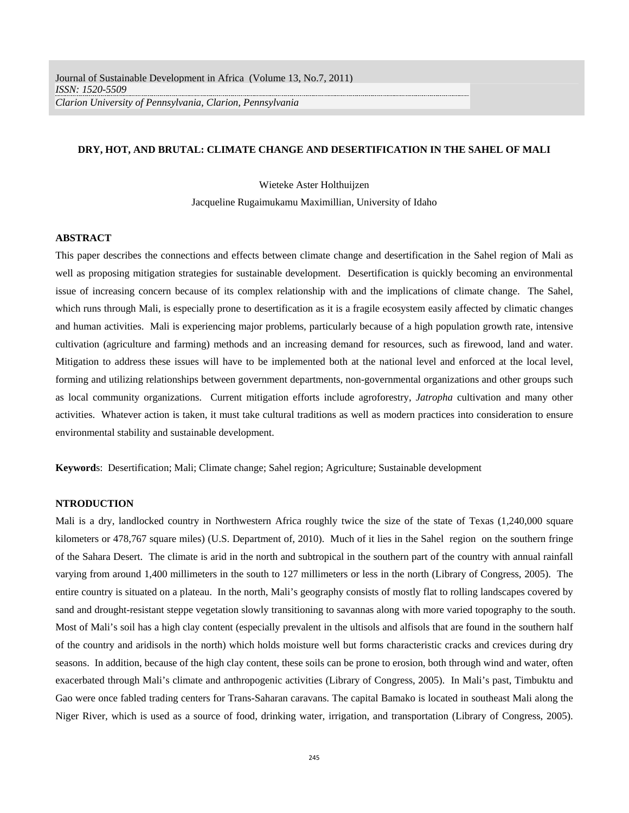### **DRY, HOT, AND BRUTAL: CLIMATE CHANGE AND DESERTIFICATION IN THE SAHEL OF MALI**

Wieteke Aster Holthuijzen

Jacqueline Rugaimukamu Maximillian, University of Idaho

# **ABSTRACT**

This paper describes the connections and effects between climate change and desertification in the Sahel region of Mali as well as proposing mitigation strategies for sustainable development. Desertification is quickly becoming an environmental issue of increasing concern because of its complex relationship with and the implications of climate change. The Sahel, which runs through Mali, is especially prone to desertification as it is a fragile ecosystem easily affected by climatic changes and human activities. Mali is experiencing major problems, particularly because of a high population growth rate, intensive cultivation (agriculture and farming) methods and an increasing demand for resources, such as firewood, land and water. Mitigation to address these issues will have to be implemented both at the national level and enforced at the local level, forming and utilizing relationships between government departments, non-governmental organizations and other groups such as local community organizations. Current mitigation efforts include agroforestry, *Jatropha* cultivation and many other activities. Whatever action is taken, it must take cultural traditions as well as modern practices into consideration to ensure environmental stability and sustainable development.

**Keyword**s: Desertification; Mali; Climate change; Sahel region; Agriculture; Sustainable development

### **NTRODUCTION**

Mali is a dry, landlocked country in Northwestern Africa roughly twice the size of the state of Texas (1,240,000 square kilometers or 478,767 square miles) (U.S. Department of, 2010). Much of it lies in the Sahel region on the southern fringe of the Sahara Desert. The climate is arid in the north and subtropical in the southern part of the country with annual rainfall varying from around 1,400 millimeters in the south to 127 millimeters or less in the north (Library of Congress, 2005). The entire country is situated on a plateau. In the north, Mali's geography consists of mostly flat to rolling landscapes covered by sand and drought-resistant steppe vegetation slowly transitioning to savannas along with more varied topography to the south. Most of Mali's soil has a high clay content (especially prevalent in the ultisols and alfisols that are found in the southern half of the country and aridisols in the north) which holds moisture well but forms characteristic cracks and crevices during dry seasons. In addition, because of the high clay content, these soils can be prone to erosion, both through wind and water, often exacerbated through Mali's climate and anthropogenic activities (Library of Congress, 2005). In Mali's past, Timbuktu and Gao were once fabled trading centers for Trans-Saharan caravans. The capital Bamako is located in southeast Mali along the Niger River, which is used as a source of food, drinking water, irrigation, and transportation (Library of Congress, 2005).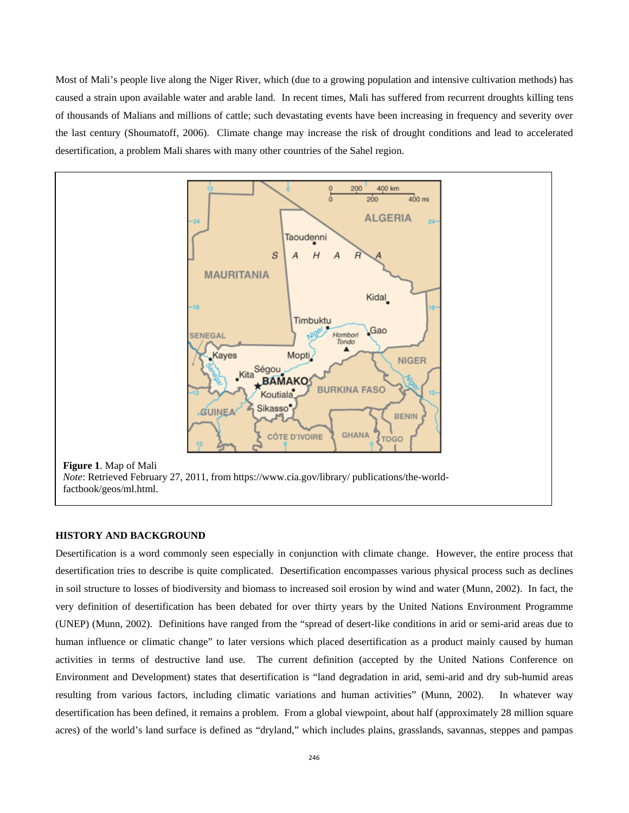Most of Mali's people live along the Niger River, which (due to a growing population and intensive cultivation methods) has caused a strain upon available water and arable land. In recent times, Mali has suffered from recurrent droughts killing tens of thousands of Malians and millions of cattle; such devastating events have been increasing in frequency and severity over the last century (Shoumatoff, 2006). Climate change may increase the risk of drought conditions and lead to accelerated desertification, a problem Mali shares with many other countries of the Sahel region.



### **HISTORY AND BACKGROUND**

Desertification is a word commonly seen especially in conjunction with climate change. However, the entire process that desertification tries to describe is quite complicated. Desertification encompasses various physical process such as declines in soil structure to losses of biodiversity and biomass to increased soil erosion by wind and water (Munn, 2002). In fact, the very definition of desertification has been debated for over thirty years by the United Nations Environment Programme (UNEP) (Munn, 2002). Definitions have ranged from the "spread of desert-like conditions in arid or semi-arid areas due to human influence or climatic change" to later versions which placed desertification as a product mainly caused by human activities in terms of destructive land use. The current definition (accepted by the United Nations Conference on Environment and Development) states that desertification is "land degradation in arid, semi-arid and dry sub-humid areas resulting from various factors, including climatic variations and human activities" (Munn, 2002). In whatever way desertification has been defined, it remains a problem. From a global viewpoint, about half (approximately 28 million square acres) of the world's land surface is defined as "dryland," which includes plains, grasslands, savannas, steppes and pampas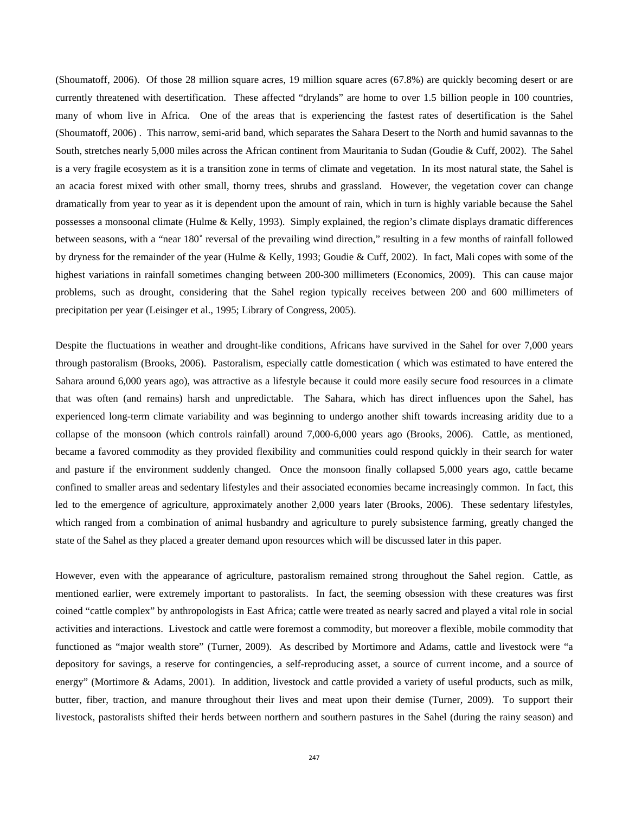(Shoumatoff, 2006). Of those 28 million square acres, 19 million square acres (67.8%) are quickly becoming desert or are currently threatened with desertification. These affected "drylands" are home to over 1.5 billion people in 100 countries, many of whom live in Africa. One of the areas that is experiencing the fastest rates of desertification is the Sahel (Shoumatoff, 2006) . This narrow, semi-arid band, which separates the Sahara Desert to the North and humid savannas to the South, stretches nearly 5,000 miles across the African continent from Mauritania to Sudan (Goudie & Cuff, 2002). The Sahel is a very fragile ecosystem as it is a transition zone in terms of climate and vegetation. In its most natural state, the Sahel is an acacia forest mixed with other small, thorny trees, shrubs and grassland. However, the vegetation cover can change dramatically from year to year as it is dependent upon the amount of rain, which in turn is highly variable because the Sahel possesses a monsoonal climate (Hulme & Kelly, 1993). Simply explained, the region's climate displays dramatic differences between seasons, with a "near 180˚ reversal of the prevailing wind direction," resulting in a few months of rainfall followed by dryness for the remainder of the year (Hulme & Kelly, 1993; Goudie & Cuff, 2002). In fact, Mali copes with some of the highest variations in rainfall sometimes changing between 200-300 millimeters (Economics, 2009). This can cause major problems, such as drought, considering that the Sahel region typically receives between 200 and 600 millimeters of precipitation per year (Leisinger et al., 1995; Library of Congress, 2005).

Despite the fluctuations in weather and drought-like conditions, Africans have survived in the Sahel for over 7,000 years through pastoralism (Brooks, 2006). Pastoralism, especially cattle domestication ( which was estimated to have entered the Sahara around 6,000 years ago), was attractive as a lifestyle because it could more easily secure food resources in a climate that was often (and remains) harsh and unpredictable. The Sahara, which has direct influences upon the Sahel, has experienced long-term climate variability and was beginning to undergo another shift towards increasing aridity due to a collapse of the monsoon (which controls rainfall) around 7,000-6,000 years ago (Brooks, 2006). Cattle, as mentioned, became a favored commodity as they provided flexibility and communities could respond quickly in their search for water and pasture if the environment suddenly changed. Once the monsoon finally collapsed 5,000 years ago, cattle became confined to smaller areas and sedentary lifestyles and their associated economies became increasingly common. In fact, this led to the emergence of agriculture, approximately another 2,000 years later (Brooks, 2006). These sedentary lifestyles, which ranged from a combination of animal husbandry and agriculture to purely subsistence farming, greatly changed the state of the Sahel as they placed a greater demand upon resources which will be discussed later in this paper.

However, even with the appearance of agriculture, pastoralism remained strong throughout the Sahel region. Cattle, as mentioned earlier, were extremely important to pastoralists. In fact, the seeming obsession with these creatures was first coined "cattle complex" by anthropologists in East Africa; cattle were treated as nearly sacred and played a vital role in social activities and interactions. Livestock and cattle were foremost a commodity, but moreover a flexible, mobile commodity that functioned as "major wealth store" (Turner, 2009). As described by Mortimore and Adams, cattle and livestock were "a depository for savings, a reserve for contingencies, a self-reproducing asset, a source of current income, and a source of energy" (Mortimore & Adams, 2001). In addition, livestock and cattle provided a variety of useful products, such as milk, butter, fiber, traction, and manure throughout their lives and meat upon their demise (Turner, 2009). To support their livestock, pastoralists shifted their herds between northern and southern pastures in the Sahel (during the rainy season) and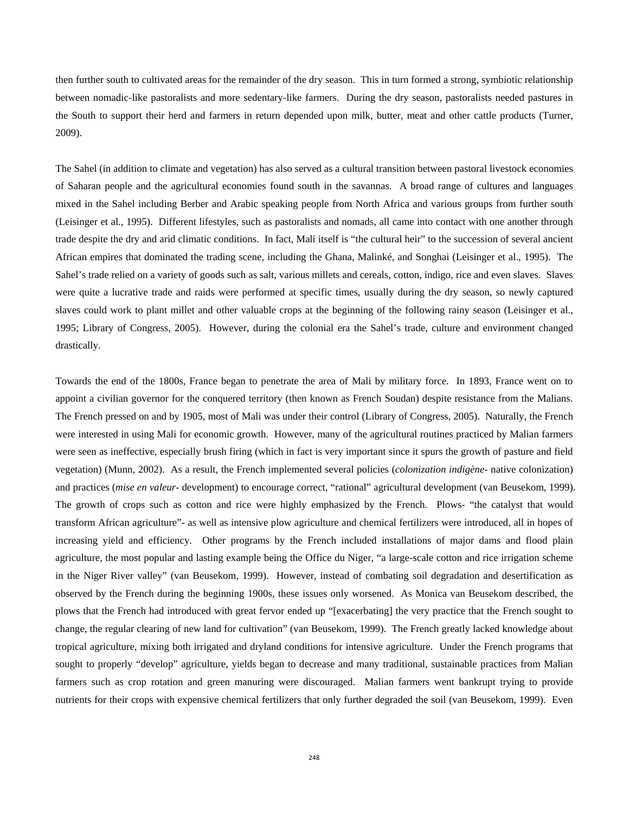then further south to cultivated areas for the remainder of the dry season. This in turn formed a strong, symbiotic relationship between nomadic-like pastoralists and more sedentary-like farmers. During the dry season, pastoralists needed pastures in the South to support their herd and farmers in return depended upon milk, butter, meat and other cattle products (Turner, 2009).

The Sahel (in addition to climate and vegetation) has also served as a cultural transition between pastoral livestock economies of Saharan people and the agricultural economies found south in the savannas. A broad range of cultures and languages mixed in the Sahel including Berber and Arabic speaking people from North Africa and various groups from further south (Leisinger et al., 1995). Different lifestyles, such as pastoralists and nomads, all came into contact with one another through trade despite the dry and arid climatic conditions. In fact, Mali itself is "the cultural heir" to the succession of several ancient African empires that dominated the trading scene, including the Ghana, Malinké, and Songhai (Leisinger et al., 1995). The Sahel's trade relied on a variety of goods such as salt, various millets and cereals, cotton, indigo, rice and even slaves. Slaves were quite a lucrative trade and raids were performed at specific times, usually during the dry season, so newly captured slaves could work to plant millet and other valuable crops at the beginning of the following rainy season (Leisinger et al., 1995; Library of Congress, 2005). However, during the colonial era the Sahel's trade, culture and environment changed drastically.

Towards the end of the 1800s, France began to penetrate the area of Mali by military force. In 1893, France went on to appoint a civilian governor for the conquered territory (then known as French Soudan) despite resistance from the Malians. The French pressed on and by 1905, most of Mali was under their control (Library of Congress, 2005). Naturally, the French were interested in using Mali for economic growth. However, many of the agricultural routines practiced by Malian farmers were seen as ineffective, especially brush firing (which in fact is very important since it spurs the growth of pasture and field vegetation) (Munn, 2002). As a result, the French implemented several policies (*colonization indigène*- native colonization) and practices (*mise en valeur*- development) to encourage correct, "rational" agricultural development (van Beusekom, 1999). The growth of crops such as cotton and rice were highly emphasized by the French. Plows- "the catalyst that would transform African agriculture"- as well as intensive plow agriculture and chemical fertilizers were introduced, all in hopes of increasing yield and efficiency. Other programs by the French included installations of major dams and flood plain agriculture, the most popular and lasting example being the Office du Niger, "a large-scale cotton and rice irrigation scheme in the Niger River valley" (van Beusekom, 1999). However, instead of combating soil degradation and desertification as observed by the French during the beginning 1900s, these issues only worsened. As Monica van Beusekom described, the plows that the French had introduced with great fervor ended up "[exacerbating] the very practice that the French sought to change, the regular clearing of new land for cultivation" (van Beusekom, 1999). The French greatly lacked knowledge about tropical agriculture, mixing both irrigated and dryland conditions for intensive agriculture. Under the French programs that sought to properly "develop" agriculture, yields began to decrease and many traditional, sustainable practices from Malian farmers such as crop rotation and green manuring were discouraged. Malian farmers went bankrupt trying to provide nutrients for their crops with expensive chemical fertilizers that only further degraded the soil (van Beusekom, 1999). Even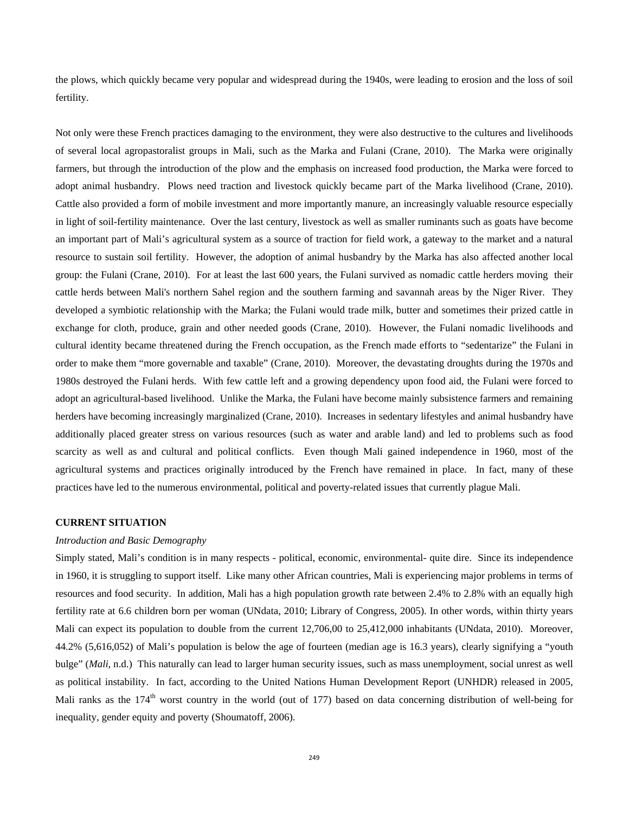the plows, which quickly became very popular and widespread during the 1940s, were leading to erosion and the loss of soil fertility.

Not only were these French practices damaging to the environment, they were also destructive to the cultures and livelihoods of several local agropastoralist groups in Mali, such as the Marka and Fulani (Crane, 2010). The Marka were originally farmers, but through the introduction of the plow and the emphasis on increased food production, the Marka were forced to adopt animal husbandry. Plows need traction and livestock quickly became part of the Marka livelihood (Crane, 2010). Cattle also provided a form of mobile investment and more importantly manure, an increasingly valuable resource especially in light of soil-fertility maintenance. Over the last century, livestock as well as smaller ruminants such as goats have become an important part of Mali's agricultural system as a source of traction for field work, a gateway to the market and a natural resource to sustain soil fertility. However, the adoption of animal husbandry by the Marka has also affected another local group: the Fulani (Crane, 2010). For at least the last 600 years, the Fulani survived as nomadic cattle herders moving their cattle herds between Mali's northern Sahel region and the southern farming and savannah areas by the Niger River. They developed a symbiotic relationship with the Marka; the Fulani would trade milk, butter and sometimes their prized cattle in exchange for cloth, produce, grain and other needed goods (Crane, 2010). However, the Fulani nomadic livelihoods and cultural identity became threatened during the French occupation, as the French made efforts to "sedentarize" the Fulani in order to make them "more governable and taxable" (Crane, 2010). Moreover, the devastating droughts during the 1970s and 1980s destroyed the Fulani herds. With few cattle left and a growing dependency upon food aid, the Fulani were forced to adopt an agricultural-based livelihood. Unlike the Marka, the Fulani have become mainly subsistence farmers and remaining herders have becoming increasingly marginalized (Crane, 2010). Increases in sedentary lifestyles and animal husbandry have additionally placed greater stress on various resources (such as water and arable land) and led to problems such as food scarcity as well as and cultural and political conflicts. Even though Mali gained independence in 1960, most of the agricultural systems and practices originally introduced by the French have remained in place. In fact, many of these practices have led to the numerous environmental, political and poverty-related issues that currently plague Mali.

#### **CURRENT SITUATION**

### *Introduction and Basic Demography*

Simply stated, Mali's condition is in many respects - political, economic, environmental- quite dire. Since its independence in 1960, it is struggling to support itself. Like many other African countries, Mali is experiencing major problems in terms of resources and food security. In addition, Mali has a high population growth rate between 2.4% to 2.8% with an equally high fertility rate at 6.6 children born per woman (UNdata, 2010; Library of Congress, 2005). In other words, within thirty years Mali can expect its population to double from the current 12,706,00 to 25,412,000 inhabitants (UNdata, 2010). Moreover, 44.2% (5,616,052) of Mali's population is below the age of fourteen (median age is 16.3 years), clearly signifying a "youth bulge" (*Mali*, n.d.) This naturally can lead to larger human security issues, such as mass unemployment, social unrest as well as political instability. In fact, according to the United Nations Human Development Report (UNHDR) released in 2005, Mali ranks as the  $174<sup>th</sup>$  worst country in the world (out of 177) based on data concerning distribution of well-being for inequality, gender equity and poverty (Shoumatoff, 2006).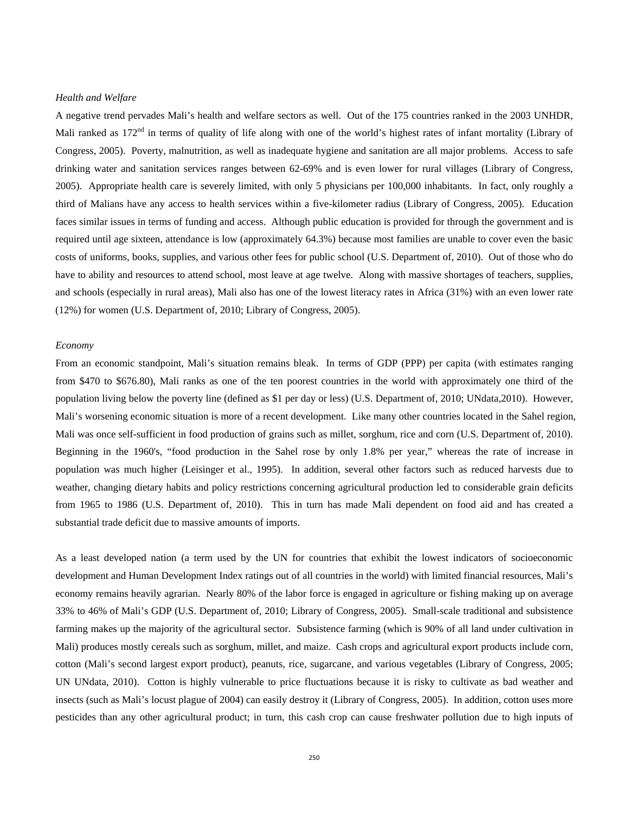#### *Health and Welfare*

A negative trend pervades Mali's health and welfare sectors as well. Out of the 175 countries ranked in the 2003 UNHDR, Mali ranked as  $172<sup>nd</sup>$  in terms of quality of life along with one of the world's highest rates of infant mortality (Library of Congress, 2005). Poverty, malnutrition, as well as inadequate hygiene and sanitation are all major problems. Access to safe drinking water and sanitation services ranges between 62-69% and is even lower for rural villages (Library of Congress, 2005). Appropriate health care is severely limited, with only 5 physicians per 100,000 inhabitants. In fact, only roughly a third of Malians have any access to health services within a five-kilometer radius (Library of Congress, 2005). Education faces similar issues in terms of funding and access. Although public education is provided for through the government and is required until age sixteen, attendance is low (approximately 64.3%) because most families are unable to cover even the basic costs of uniforms, books, supplies, and various other fees for public school (U.S. Department of, 2010). Out of those who do have to ability and resources to attend school, most leave at age twelve. Along with massive shortages of teachers, supplies, and schools (especially in rural areas), Mali also has one of the lowest literacy rates in Africa (31%) with an even lower rate (12%) for women (U.S. Department of, 2010; Library of Congress, 2005).

#### *Economy*

From an economic standpoint, Mali's situation remains bleak. In terms of GDP (PPP) per capita (with estimates ranging from \$470 to \$676.80), Mali ranks as one of the ten poorest countries in the world with approximately one third of the population living below the poverty line (defined as \$1 per day or less) (U.S. Department of, 2010; UNdata,2010). However, Mali's worsening economic situation is more of a recent development. Like many other countries located in the Sahel region, Mali was once self-sufficient in food production of grains such as millet, sorghum, rice and corn (U.S. Department of, 2010). Beginning in the 1960's, "food production in the Sahel rose by only 1.8% per year," whereas the rate of increase in population was much higher (Leisinger et al., 1995). In addition, several other factors such as reduced harvests due to weather, changing dietary habits and policy restrictions concerning agricultural production led to considerable grain deficits from 1965 to 1986 (U.S. Department of, 2010). This in turn has made Mali dependent on food aid and has created a substantial trade deficit due to massive amounts of imports.

As a least developed nation (a term used by the UN for countries that exhibit the lowest indicators of socioeconomic development and Human Development Index ratings out of all countries in the world) with limited financial resources, Mali's economy remains heavily agrarian. Nearly 80% of the labor force is engaged in agriculture or fishing making up on average 33% to 46% of Mali's GDP (U.S. Department of, 2010; Library of Congress, 2005). Small-scale traditional and subsistence farming makes up the majority of the agricultural sector. Subsistence farming (which is 90% of all land under cultivation in Mali) produces mostly cereals such as sorghum, millet, and maize. Cash crops and agricultural export products include corn, cotton (Mali's second largest export product), peanuts, rice, sugarcane, and various vegetables (Library of Congress, 2005; UN UNdata, 2010). Cotton is highly vulnerable to price fluctuations because it is risky to cultivate as bad weather and insects (such as Mali's locust plague of 2004) can easily destroy it (Library of Congress, 2005). In addition, cotton uses more pesticides than any other agricultural product; in turn, this cash crop can cause freshwater pollution due to high inputs of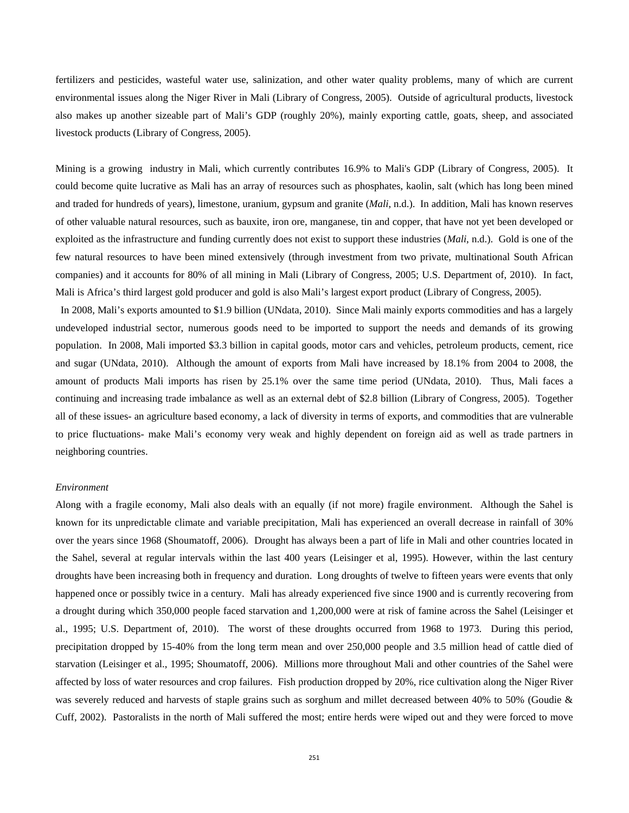fertilizers and pesticides, wasteful water use, salinization, and other water quality problems, many of which are current environmental issues along the Niger River in Mali (Library of Congress, 2005). Outside of agricultural products, livestock also makes up another sizeable part of Mali's GDP (roughly 20%), mainly exporting cattle, goats, sheep, and associated livestock products (Library of Congress, 2005).

Mining is a growing industry in Mali, which currently contributes 16.9% to Mali's GDP (Library of Congress, 2005). It could become quite lucrative as Mali has an array of resources such as phosphates, kaolin, salt (which has long been mined and traded for hundreds of years), limestone, uranium, gypsum and granite (*Mali*, n.d.). In addition, Mali has known reserves of other valuable natural resources, such as bauxite, iron ore, manganese, tin and copper, that have not yet been developed or exploited as the infrastructure and funding currently does not exist to support these industries (*Mali*, n.d.). Gold is one of the few natural resources to have been mined extensively (through investment from two private, multinational South African companies) and it accounts for 80% of all mining in Mali (Library of Congress, 2005; U.S. Department of, 2010). In fact, Mali is Africa's third largest gold producer and gold is also Mali's largest export product (Library of Congress, 2005).

 In 2008, Mali's exports amounted to \$1.9 billion (UNdata, 2010). Since Mali mainly exports commodities and has a largely undeveloped industrial sector, numerous goods need to be imported to support the needs and demands of its growing population. In 2008, Mali imported \$3.3 billion in capital goods, motor cars and vehicles, petroleum products, cement, rice and sugar (UNdata, 2010). Although the amount of exports from Mali have increased by 18.1% from 2004 to 2008, the amount of products Mali imports has risen by 25.1% over the same time period (UNdata, 2010). Thus, Mali faces a continuing and increasing trade imbalance as well as an external debt of \$2.8 billion (Library of Congress, 2005). Together all of these issues- an agriculture based economy, a lack of diversity in terms of exports, and commodities that are vulnerable to price fluctuations- make Mali's economy very weak and highly dependent on foreign aid as well as trade partners in neighboring countries.

#### *Environment*

Along with a fragile economy, Mali also deals with an equally (if not more) fragile environment. Although the Sahel is known for its unpredictable climate and variable precipitation, Mali has experienced an overall decrease in rainfall of 30% over the years since 1968 (Shoumatoff, 2006). Drought has always been a part of life in Mali and other countries located in the Sahel, several at regular intervals within the last 400 years (Leisinger et al, 1995). However, within the last century droughts have been increasing both in frequency and duration. Long droughts of twelve to fifteen years were events that only happened once or possibly twice in a century. Mali has already experienced five since 1900 and is currently recovering from a drought during which 350,000 people faced starvation and 1,200,000 were at risk of famine across the Sahel (Leisinger et al., 1995; U.S. Department of, 2010). The worst of these droughts occurred from 1968 to 1973. During this period, precipitation dropped by 15-40% from the long term mean and over 250,000 people and 3.5 million head of cattle died of starvation (Leisinger et al., 1995; Shoumatoff, 2006). Millions more throughout Mali and other countries of the Sahel were affected by loss of water resources and crop failures. Fish production dropped by 20%, rice cultivation along the Niger River was severely reduced and harvests of staple grains such as sorghum and millet decreased between 40% to 50% (Goudie & Cuff, 2002). Pastoralists in the north of Mali suffered the most; entire herds were wiped out and they were forced to move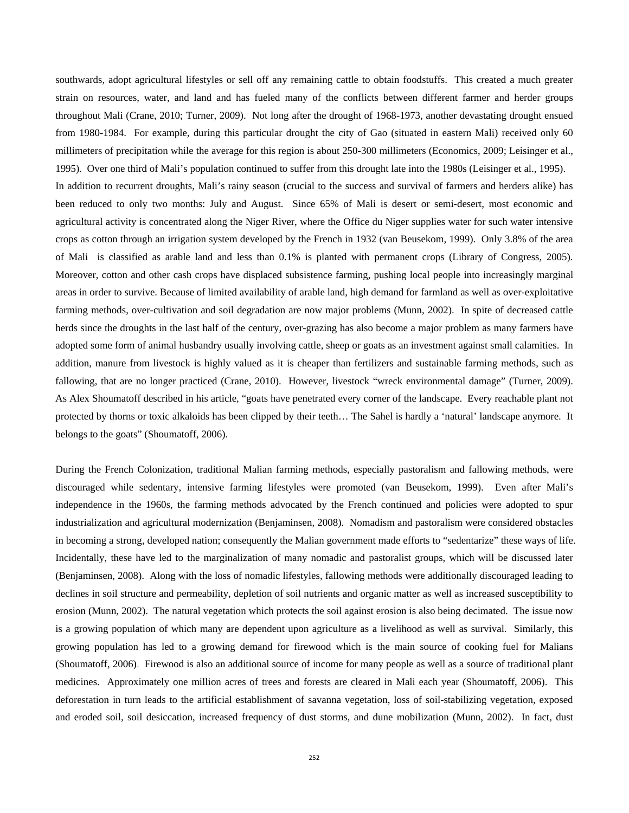southwards, adopt agricultural lifestyles or sell off any remaining cattle to obtain foodstuffs. This created a much greater strain on resources, water, and land and has fueled many of the conflicts between different farmer and herder groups throughout Mali (Crane, 2010; Turner, 2009). Not long after the drought of 1968-1973, another devastating drought ensued from 1980-1984. For example, during this particular drought the city of Gao (situated in eastern Mali) received only 60 millimeters of precipitation while the average for this region is about 250-300 millimeters (Economics, 2009; Leisinger et al., 1995). Over one third of Mali's population continued to suffer from this drought late into the 1980s (Leisinger et al., 1995). In addition to recurrent droughts, Mali's rainy season (crucial to the success and survival of farmers and herders alike) has

been reduced to only two months: July and August. Since 65% of Mali is desert or semi-desert, most economic and agricultural activity is concentrated along the Niger River, where the Office du Niger supplies water for such water intensive crops as cotton through an irrigation system developed by the French in 1932 (van Beusekom, 1999). Only 3.8% of the area of Mali is classified as arable land and less than 0.1% is planted with permanent crops (Library of Congress, 2005). Moreover, cotton and other cash crops have displaced subsistence farming, pushing local people into increasingly marginal areas in order to survive. Because of limited availability of arable land, high demand for farmland as well as over-exploitative farming methods, over-cultivation and soil degradation are now major problems (Munn, 2002). In spite of decreased cattle herds since the droughts in the last half of the century, over-grazing has also become a major problem as many farmers have adopted some form of animal husbandry usually involving cattle, sheep or goats as an investment against small calamities. In addition, manure from livestock is highly valued as it is cheaper than fertilizers and sustainable farming methods, such as fallowing, that are no longer practiced (Crane, 2010). However, livestock "wreck environmental damage" (Turner, 2009). As Alex Shoumatoff described in his article, "goats have penetrated every corner of the landscape. Every reachable plant not protected by thorns or toxic alkaloids has been clipped by their teeth… The Sahel is hardly a 'natural' landscape anymore. It belongs to the goats" (Shoumatoff, 2006).

During the French Colonization, traditional Malian farming methods, especially pastoralism and fallowing methods, were discouraged while sedentary, intensive farming lifestyles were promoted (van Beusekom, 1999). Even after Mali's independence in the 1960s, the farming methods advocated by the French continued and policies were adopted to spur industrialization and agricultural modernization (Benjaminsen, 2008). Nomadism and pastoralism were considered obstacles in becoming a strong, developed nation; consequently the Malian government made efforts to "sedentarize" these ways of life. Incidentally, these have led to the marginalization of many nomadic and pastoralist groups, which will be discussed later (Benjaminsen, 2008). Along with the loss of nomadic lifestyles, fallowing methods were additionally discouraged leading to declines in soil structure and permeability, depletion of soil nutrients and organic matter as well as increased susceptibility to erosion (Munn, 2002). The natural vegetation which protects the soil against erosion is also being decimated. The issue now is a growing population of which many are dependent upon agriculture as a livelihood as well as survival. Similarly, this growing population has led to a growing demand for firewood which is the main source of cooking fuel for Malians (Shoumatoff, 2006). Firewood is also an additional source of income for many people as well as a source of traditional plant medicines. Approximately one million acres of trees and forests are cleared in Mali each year (Shoumatoff, 2006). This deforestation in turn leads to the artificial establishment of savanna vegetation, loss of soil-stabilizing vegetation, exposed and eroded soil, soil desiccation, increased frequency of dust storms, and dune mobilization (Munn, 2002). In fact, dust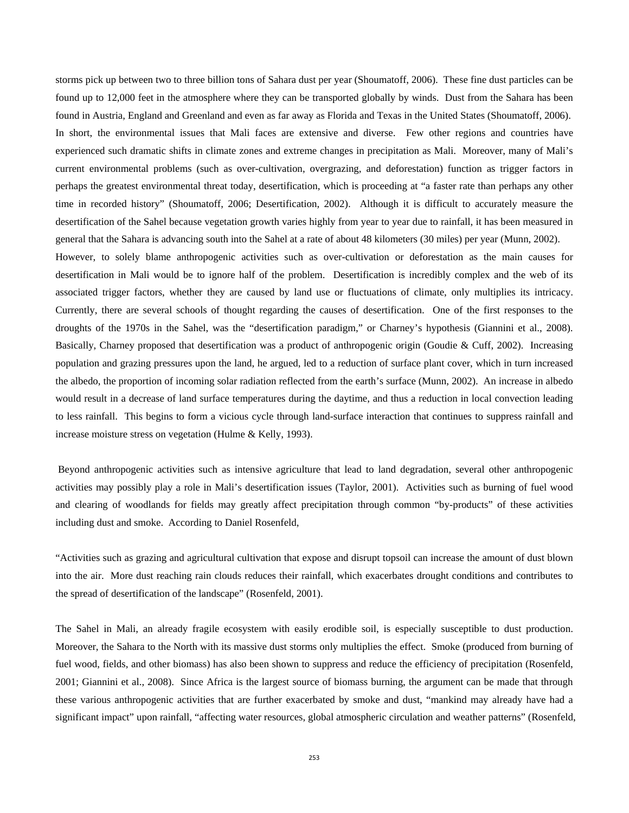storms pick up between two to three billion tons of Sahara dust per year (Shoumatoff, 2006). These fine dust particles can be found up to 12,000 feet in the atmosphere where they can be transported globally by winds. Dust from the Sahara has been found in Austria, England and Greenland and even as far away as Florida and Texas in the United States (Shoumatoff, 2006). In short, the environmental issues that Mali faces are extensive and diverse. Few other regions and countries have experienced such dramatic shifts in climate zones and extreme changes in precipitation as Mali. Moreover, many of Mali's current environmental problems (such as over-cultivation, overgrazing, and deforestation) function as trigger factors in perhaps the greatest environmental threat today, desertification, which is proceeding at "a faster rate than perhaps any other time in recorded history" (Shoumatoff, 2006; Desertification, 2002). Although it is difficult to accurately measure the desertification of the Sahel because vegetation growth varies highly from year to year due to rainfall, it has been measured in general that the Sahara is advancing south into the Sahel at a rate of about 48 kilometers (30 miles) per year (Munn, 2002). However, to solely blame anthropogenic activities such as over-cultivation or deforestation as the main causes for desertification in Mali would be to ignore half of the problem. Desertification is incredibly complex and the web of its

associated trigger factors, whether they are caused by land use or fluctuations of climate, only multiplies its intricacy. Currently, there are several schools of thought regarding the causes of desertification. One of the first responses to the droughts of the 1970s in the Sahel, was the "desertification paradigm," or Charney's hypothesis (Giannini et al., 2008). Basically, Charney proposed that desertification was a product of anthropogenic origin (Goudie & Cuff, 2002). Increasing population and grazing pressures upon the land, he argued, led to a reduction of surface plant cover, which in turn increased the albedo, the proportion of incoming solar radiation reflected from the earth's surface (Munn, 2002). An increase in albedo would result in a decrease of land surface temperatures during the daytime, and thus a reduction in local convection leading to less rainfall. This begins to form a vicious cycle through land-surface interaction that continues to suppress rainfall and increase moisture stress on vegetation (Hulme & Kelly, 1993).

 Beyond anthropogenic activities such as intensive agriculture that lead to land degradation, several other anthropogenic activities may possibly play a role in Mali's desertification issues (Taylor, 2001). Activities such as burning of fuel wood and clearing of woodlands for fields may greatly affect precipitation through common "by-products" of these activities including dust and smoke. According to Daniel Rosenfeld,

"Activities such as grazing and agricultural cultivation that expose and disrupt topsoil can increase the amount of dust blown into the air. More dust reaching rain clouds reduces their rainfall, which exacerbates drought conditions and contributes to the spread of desertification of the landscape" (Rosenfeld, 2001).

The Sahel in Mali, an already fragile ecosystem with easily erodible soil, is especially susceptible to dust production. Moreover, the Sahara to the North with its massive dust storms only multiplies the effect. Smoke (produced from burning of fuel wood, fields, and other biomass) has also been shown to suppress and reduce the efficiency of precipitation (Rosenfeld, 2001; Giannini et al., 2008). Since Africa is the largest source of biomass burning, the argument can be made that through these various anthropogenic activities that are further exacerbated by smoke and dust, "mankind may already have had a significant impact" upon rainfall, "affecting water resources, global atmospheric circulation and weather patterns" (Rosenfeld,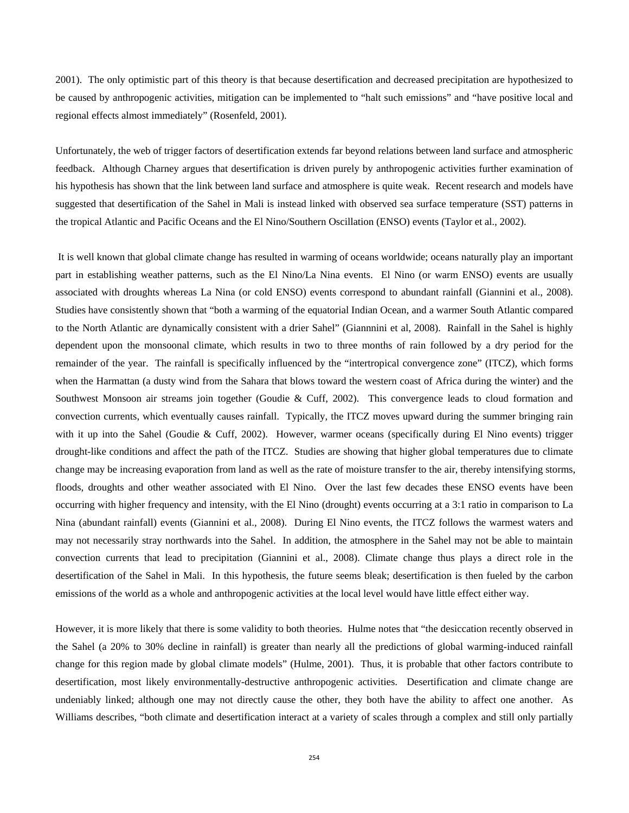2001). The only optimistic part of this theory is that because desertification and decreased precipitation are hypothesized to be caused by anthropogenic activities, mitigation can be implemented to "halt such emissions" and "have positive local and regional effects almost immediately" (Rosenfeld, 2001).

Unfortunately, the web of trigger factors of desertification extends far beyond relations between land surface and atmospheric feedback. Although Charney argues that desertification is driven purely by anthropogenic activities further examination of his hypothesis has shown that the link between land surface and atmosphere is quite weak. Recent research and models have suggested that desertification of the Sahel in Mali is instead linked with observed sea surface temperature (SST) patterns in the tropical Atlantic and Pacific Oceans and the El Nino/Southern Oscillation (ENSO) events (Taylor et al., 2002).

 It is well known that global climate change has resulted in warming of oceans worldwide; oceans naturally play an important part in establishing weather patterns, such as the El Nino/La Nina events. El Nino (or warm ENSO) events are usually associated with droughts whereas La Nina (or cold ENSO) events correspond to abundant rainfall (Giannini et al., 2008). Studies have consistently shown that "both a warming of the equatorial Indian Ocean, and a warmer South Atlantic compared to the North Atlantic are dynamically consistent with a drier Sahel" (Giannnini et al, 2008). Rainfall in the Sahel is highly dependent upon the monsoonal climate, which results in two to three months of rain followed by a dry period for the remainder of the year. The rainfall is specifically influenced by the "intertropical convergence zone" (ITCZ), which forms when the Harmattan (a dusty wind from the Sahara that blows toward the western coast of Africa during the winter) and the Southwest Monsoon air streams join together (Goudie & Cuff, 2002). This convergence leads to cloud formation and convection currents, which eventually causes rainfall. Typically, the ITCZ moves upward during the summer bringing rain with it up into the Sahel (Goudie & Cuff, 2002). However, warmer oceans (specifically during El Nino events) trigger drought-like conditions and affect the path of the ITCZ. Studies are showing that higher global temperatures due to climate change may be increasing evaporation from land as well as the rate of moisture transfer to the air, thereby intensifying storms, floods, droughts and other weather associated with El Nino. Over the last few decades these ENSO events have been occurring with higher frequency and intensity, with the El Nino (drought) events occurring at a 3:1 ratio in comparison to La Nina (abundant rainfall) events (Giannini et al., 2008). During El Nino events, the ITCZ follows the warmest waters and may not necessarily stray northwards into the Sahel. In addition, the atmosphere in the Sahel may not be able to maintain convection currents that lead to precipitation (Giannini et al., 2008). Climate change thus plays a direct role in the desertification of the Sahel in Mali. In this hypothesis, the future seems bleak; desertification is then fueled by the carbon emissions of the world as a whole and anthropogenic activities at the local level would have little effect either way.

However, it is more likely that there is some validity to both theories. Hulme notes that "the desiccation recently observed in the Sahel (a 20% to 30% decline in rainfall) is greater than nearly all the predictions of global warming-induced rainfall change for this region made by global climate models" (Hulme, 2001). Thus, it is probable that other factors contribute to desertification, most likely environmentally-destructive anthropogenic activities. Desertification and climate change are undeniably linked; although one may not directly cause the other, they both have the ability to affect one another. As Williams describes, "both climate and desertification interact at a variety of scales through a complex and still only partially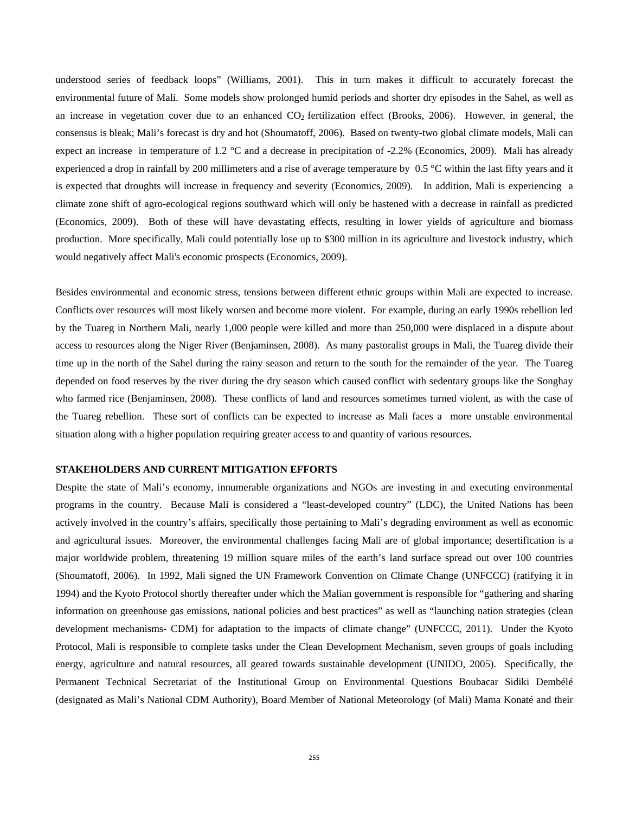understood series of feedback loops" (Williams, 2001). This in turn makes it difficult to accurately forecast the environmental future of Mali. Some models show prolonged humid periods and shorter dry episodes in the Sahel, as well as an increase in vegetation cover due to an enhanced  $CO<sub>2</sub>$  fertilization effect (Brooks, 2006). However, in general, the consensus is bleak; Mali's forecast is dry and hot (Shoumatoff, 2006). Based on twenty-two global climate models, Mali can expect an increase in temperature of 1.2 °C and a decrease in precipitation of -2.2% (Economics, 2009). Mali has already experienced a drop in rainfall by 200 millimeters and a rise of average temperature by 0.5 °C within the last fifty years and it is expected that droughts will increase in frequency and severity (Economics, 2009). In addition, Mali is experiencing a climate zone shift of agro-ecological regions southward which will only be hastened with a decrease in rainfall as predicted (Economics, 2009). Both of these will have devastating effects, resulting in lower yields of agriculture and biomass production. More specifically, Mali could potentially lose up to \$300 million in its agriculture and livestock industry, which would negatively affect Mali's economic prospects (Economics, 2009).

Besides environmental and economic stress, tensions between different ethnic groups within Mali are expected to increase. Conflicts over resources will most likely worsen and become more violent. For example, during an early 1990s rebellion led by the Tuareg in Northern Mali, nearly 1,000 people were killed and more than 250,000 were displaced in a dispute about access to resources along the Niger River (Benjaminsen, 2008). As many pastoralist groups in Mali, the Tuareg divide their time up in the north of the Sahel during the rainy season and return to the south for the remainder of the year. The Tuareg depended on food reserves by the river during the dry season which caused conflict with sedentary groups like the Songhay who farmed rice (Benjaminsen, 2008). These conflicts of land and resources sometimes turned violent, as with the case of the Tuareg rebellion. These sort of conflicts can be expected to increase as Mali faces a more unstable environmental situation along with a higher population requiring greater access to and quantity of various resources.

## **STAKEHOLDERS AND CURRENT MITIGATION EFFORTS**

Despite the state of Mali's economy, innumerable organizations and NGOs are investing in and executing environmental programs in the country. Because Mali is considered a "least-developed country" (LDC), the United Nations has been actively involved in the country's affairs, specifically those pertaining to Mali's degrading environment as well as economic and agricultural issues. Moreover, the environmental challenges facing Mali are of global importance; desertification is a major worldwide problem, threatening 19 million square miles of the earth's land surface spread out over 100 countries (Shoumatoff, 2006). In 1992, Mali signed the UN Framework Convention on Climate Change (UNFCCC) (ratifying it in 1994) and the Kyoto Protocol shortly thereafter under which the Malian government is responsible for "gathering and sharing information on greenhouse gas emissions, national policies and best practices" as well as "launching nation strategies (clean development mechanisms- CDM) for adaptation to the impacts of climate change" (UNFCCC, 2011). Under the Kyoto Protocol, Mali is responsible to complete tasks under the Clean Development Mechanism, seven groups of goals including energy, agriculture and natural resources, all geared towards sustainable development (UNIDO, 2005). Specifically, the Permanent Technical Secretariat of the Institutional Group on Environmental Questions Boubacar Sidiki Dembélé (designated as Mali's National CDM Authority), Board Member of National Meteorology (of Mali) Mama Konaté and their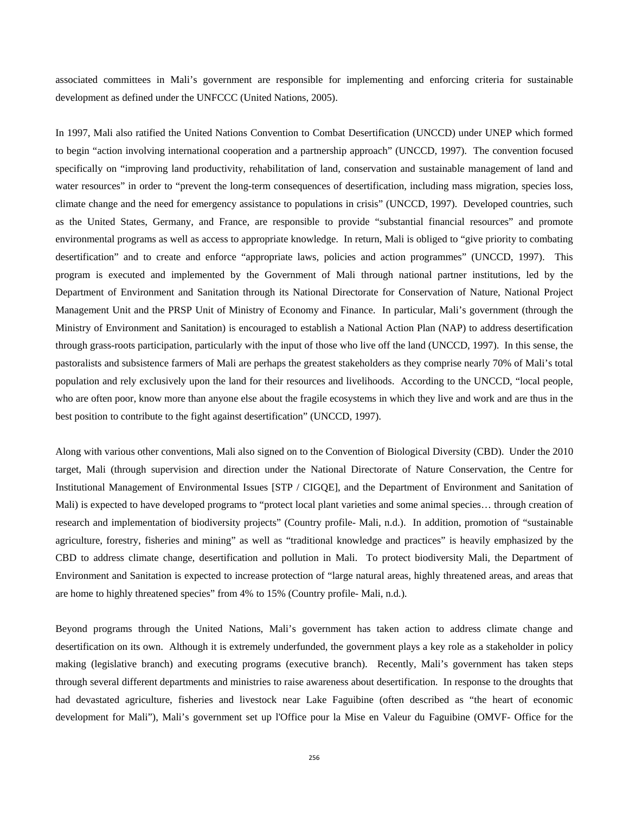associated committees in Mali's government are responsible for implementing and enforcing criteria for sustainable development as defined under the UNFCCC (United Nations, 2005).

In 1997, Mali also ratified the United Nations Convention to Combat Desertification (UNCCD) under UNEP which formed to begin "action involving international cooperation and a partnership approach" (UNCCD, 1997). The convention focused specifically on "improving land productivity, rehabilitation of land, conservation and sustainable management of land and water resources" in order to "prevent the long-term consequences of desertification, including mass migration, species loss, climate change and the need for emergency assistance to populations in crisis" (UNCCD, 1997). Developed countries, such as the United States, Germany, and France, are responsible to provide "substantial financial resources" and promote environmental programs as well as access to appropriate knowledge. In return, Mali is obliged to "give priority to combating desertification" and to create and enforce "appropriate laws, policies and action programmes" (UNCCD, 1997). This program is executed and implemented by the Government of Mali through national partner institutions, led by the Department of Environment and Sanitation through its National Directorate for Conservation of Nature, National Project Management Unit and the PRSP Unit of Ministry of Economy and Finance. In particular, Mali's government (through the Ministry of Environment and Sanitation) is encouraged to establish a National Action Plan (NAP) to address desertification through grass-roots participation, particularly with the input of those who live off the land (UNCCD, 1997). In this sense, the pastoralists and subsistence farmers of Mali are perhaps the greatest stakeholders as they comprise nearly 70% of Mali's total population and rely exclusively upon the land for their resources and livelihoods. According to the UNCCD, "local people, who are often poor, know more than anyone else about the fragile ecosystems in which they live and work and are thus in the best position to contribute to the fight against desertification" (UNCCD, 1997).

Along with various other conventions, Mali also signed on to the Convention of Biological Diversity (CBD). Under the 2010 target, Mali (through supervision and direction under the National Directorate of Nature Conservation, the Centre for Institutional Management of Environmental Issues [STP / CIGQE], and the Department of Environment and Sanitation of Mali) is expected to have developed programs to "protect local plant varieties and some animal species… through creation of research and implementation of biodiversity projects" (Country profile- Mali, n.d.). In addition, promotion of "sustainable agriculture, forestry, fisheries and mining" as well as "traditional knowledge and practices" is heavily emphasized by the CBD to address climate change, desertification and pollution in Mali. To protect biodiversity Mali, the Department of Environment and Sanitation is expected to increase protection of "large natural areas, highly threatened areas, and areas that are home to highly threatened species" from 4% to 15% (Country profile- Mali, n.d.).

Beyond programs through the United Nations, Mali's government has taken action to address climate change and desertification on its own. Although it is extremely underfunded, the government plays a key role as a stakeholder in policy making (legislative branch) and executing programs (executive branch). Recently, Mali's government has taken steps through several different departments and ministries to raise awareness about desertification. In response to the droughts that had devastated agriculture, fisheries and livestock near Lake Faguibine (often described as "the heart of economic development for Mali"), Mali's government set up l'Office pour la Mise en Valeur du Faguibine (OMVF- Office for the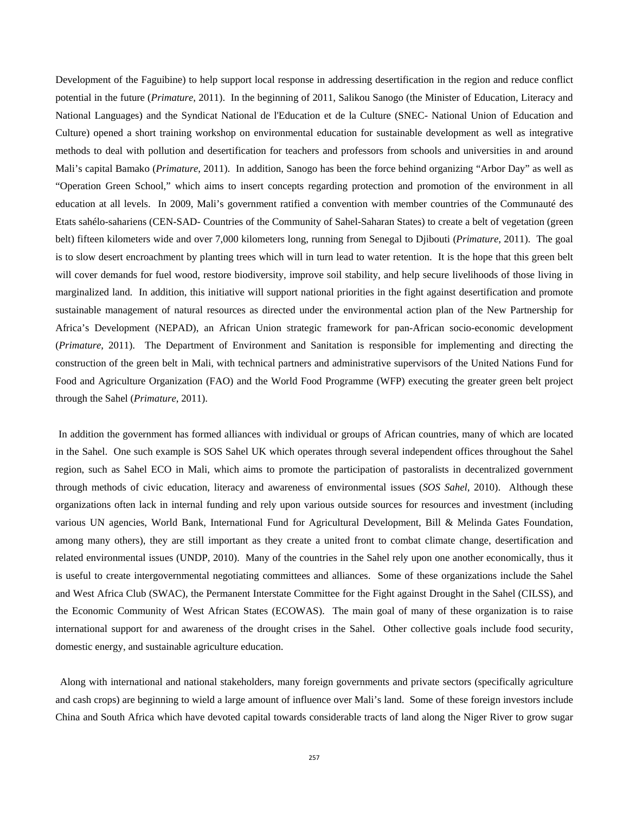Development of the Faguibine) to help support local response in addressing desertification in the region and reduce conflict potential in the future (*Primature*, 2011). In the beginning of 2011, Salikou Sanogo (the Minister of Education, Literacy and National Languages) and the Syndicat National de l'Education et de la Culture (SNEC- National Union of Education and Culture) opened a short training workshop on environmental education for sustainable development as well as integrative methods to deal with pollution and desertification for teachers and professors from schools and universities in and around Mali's capital Bamako (*Primature*, 2011). In addition, Sanogo has been the force behind organizing "Arbor Day" as well as "Operation Green School," which aims to insert concepts regarding protection and promotion of the environment in all education at all levels. In 2009, Mali's government ratified a convention with member countries of the Communauté des Etats sahélo-sahariens (CEN-SAD- Countries of the Community of Sahel-Saharan States) to create a belt of vegetation (green belt) fifteen kilometers wide and over 7,000 kilometers long, running from Senegal to Djibouti (*Primature*, 2011). The goal is to slow desert encroachment by planting trees which will in turn lead to water retention. It is the hope that this green belt will cover demands for fuel wood, restore biodiversity, improve soil stability, and help secure livelihoods of those living in marginalized land. In addition, this initiative will support national priorities in the fight against desertification and promote sustainable management of natural resources as directed under the environmental action plan of the New Partnership for Africa's Development (NEPAD), an African Union strategic framework for pan-African socio-economic development (*Primature*, 2011). The Department of Environment and Sanitation is responsible for implementing and directing the construction of the green belt in Mali, with technical partners and administrative supervisors of the United Nations Fund for Food and Agriculture Organization (FAO) and the World Food Programme (WFP) executing the greater green belt project through the Sahel (*Primature*, 2011).

 In addition the government has formed alliances with individual or groups of African countries, many of which are located in the Sahel. One such example is SOS Sahel UK which operates through several independent offices throughout the Sahel region, such as Sahel ECO in Mali, which aims to promote the participation of pastoralists in decentralized government through methods of civic education, literacy and awareness of environmental issues (*SOS Sahel*, 2010). Although these organizations often lack in internal funding and rely upon various outside sources for resources and investment (including various UN agencies, World Bank, International Fund for Agricultural Development, Bill & Melinda Gates Foundation, among many others), they are still important as they create a united front to combat climate change, desertification and related environmental issues (UNDP, 2010). Many of the countries in the Sahel rely upon one another economically, thus it is useful to create intergovernmental negotiating committees and alliances. Some of these organizations include the Sahel and West Africa Club (SWAC), the Permanent Interstate Committee for the Fight against Drought in the Sahel (CILSS), and the Economic Community of West African States (ECOWAS). The main goal of many of these organization is to raise international support for and awareness of the drought crises in the Sahel. Other collective goals include food security, domestic energy, and sustainable agriculture education.

 Along with international and national stakeholders, many foreign governments and private sectors (specifically agriculture and cash crops) are beginning to wield a large amount of influence over Mali's land. Some of these foreign investors include China and South Africa which have devoted capital towards considerable tracts of land along the Niger River to grow sugar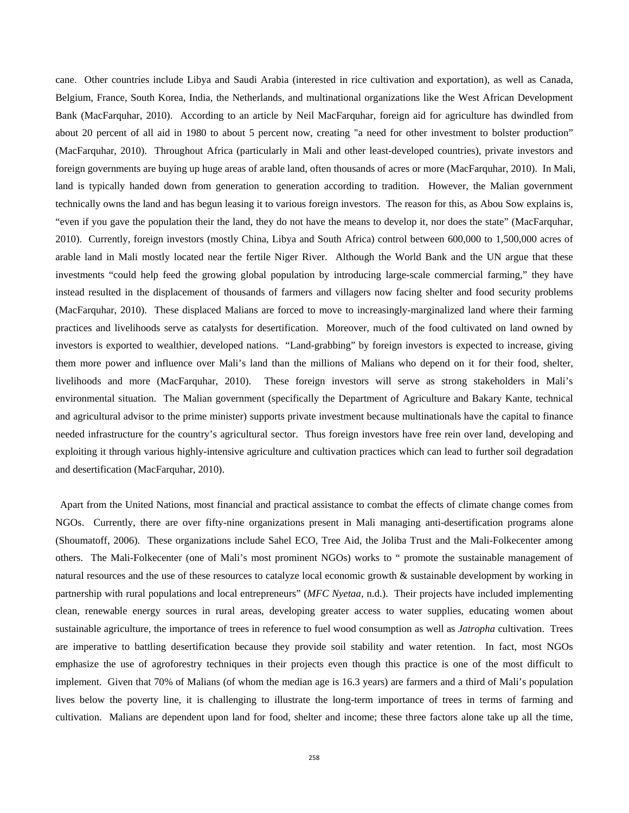cane. Other countries include Libya and Saudi Arabia (interested in rice cultivation and exportation), as well as Canada, Belgium, France, South Korea, India, the Netherlands, and multinational organizations like the West African Development Bank (MacFarquhar, 2010). According to an article by Neil MacFarquhar, foreign aid for agriculture has dwindled from about 20 percent of all aid in 1980 to about 5 percent now, creating "a need for other investment to bolster production" (MacFarquhar, 2010). Throughout Africa (particularly in Mali and other least-developed countries), private investors and foreign governments are buying up huge areas of arable land, often thousands of acres or more (MacFarquhar, 2010). In Mali, land is typically handed down from generation to generation according to tradition. However, the Malian government technically owns the land and has begun leasing it to various foreign investors. The reason for this, as Abou Sow explains is, "even if you gave the population their the land, they do not have the means to develop it, nor does the state" (MacFarquhar, 2010). Currently, foreign investors (mostly China, Libya and South Africa) control between 600,000 to 1,500,000 acres of arable land in Mali mostly located near the fertile Niger River. Although the World Bank and the UN argue that these investments "could help feed the growing global population by introducing large-scale commercial farming," they have instead resulted in the displacement of thousands of farmers and villagers now facing shelter and food security problems (MacFarquhar, 2010). These displaced Malians are forced to move to increasingly-marginalized land where their farming practices and livelihoods serve as catalysts for desertification. Moreover, much of the food cultivated on land owned by investors is exported to wealthier, developed nations. "Land-grabbing" by foreign investors is expected to increase, giving them more power and influence over Mali's land than the millions of Malians who depend on it for their food, shelter, livelihoods and more (MacFarquhar, 2010). These foreign investors will serve as strong stakeholders in Mali's environmental situation. The Malian government (specifically the Department of Agriculture and Bakary Kante, technical and agricultural advisor to the prime minister) supports private investment because multinationals have the capital to finance needed infrastructure for the country's agricultural sector. Thus foreign investors have free rein over land, developing and exploiting it through various highly-intensive agriculture and cultivation practices which can lead to further soil degradation and desertification (MacFarquhar, 2010).

 Apart from the United Nations, most financial and practical assistance to combat the effects of climate change comes from NGOs. Currently, there are over fifty-nine organizations present in Mali managing anti-desertification programs alone (Shoumatoff, 2006). These organizations include Sahel ECO, Tree Aid, the Joliba Trust and the Mali-Folkecenter among others. The Mali-Folkecenter (one of Mali's most prominent NGOs) works to " promote the sustainable management of natural resources and the use of these resources to catalyze local economic growth & sustainable development by working in partnership with rural populations and local entrepreneurs" (*MFC Nyetaa*, n.d.). Their projects have included implementing clean, renewable energy sources in rural areas, developing greater access to water supplies, educating women about sustainable agriculture, the importance of trees in reference to fuel wood consumption as well as *Jatropha* cultivation. Trees are imperative to battling desertification because they provide soil stability and water retention. In fact, most NGOs emphasize the use of agroforestry techniques in their projects even though this practice is one of the most difficult to implement. Given that 70% of Malians (of whom the median age is 16.3 years) are farmers and a third of Mali's population lives below the poverty line, it is challenging to illustrate the long-term importance of trees in terms of farming and cultivation. Malians are dependent upon land for food, shelter and income; these three factors alone take up all the time,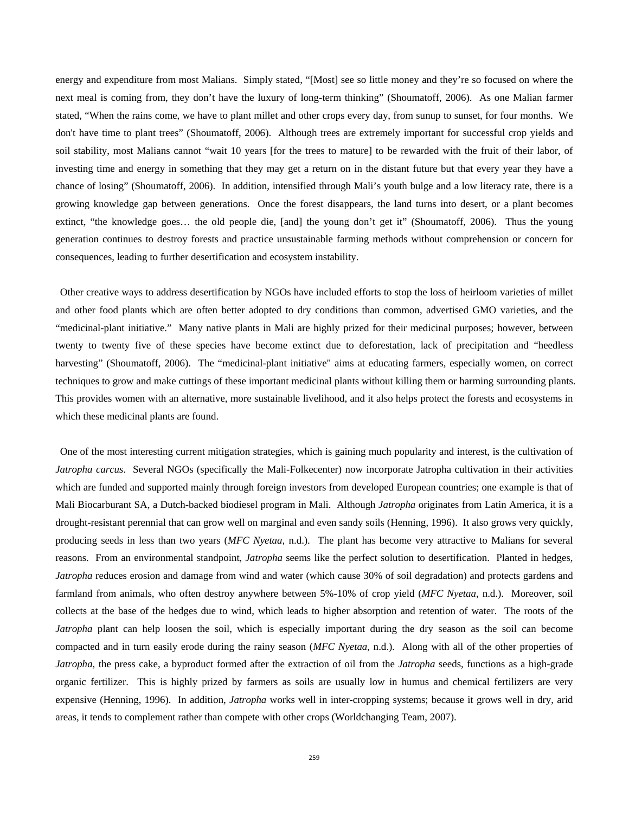energy and expenditure from most Malians. Simply stated, "[Most] see so little money and they're so focused on where the next meal is coming from, they don't have the luxury of long-term thinking" (Shoumatoff, 2006). As one Malian farmer stated, "When the rains come, we have to plant millet and other crops every day, from sunup to sunset, for four months. We don't have time to plant trees" (Shoumatoff, 2006). Although trees are extremely important for successful crop yields and soil stability, most Malians cannot "wait 10 years [for the trees to mature] to be rewarded with the fruit of their labor, of investing time and energy in something that they may get a return on in the distant future but that every year they have a chance of losing" (Shoumatoff, 2006). In addition, intensified through Mali's youth bulge and a low literacy rate, there is a growing knowledge gap between generations. Once the forest disappears, the land turns into desert, or a plant becomes extinct, "the knowledge goes… the old people die, [and] the young don't get it" (Shoumatoff, 2006). Thus the young generation continues to destroy forests and practice unsustainable farming methods without comprehension or concern for consequences, leading to further desertification and ecosystem instability.

 Other creative ways to address desertification by NGOs have included efforts to stop the loss of heirloom varieties of millet and other food plants which are often better adopted to dry conditions than common, advertised GMO varieties, and the "medicinal-plant initiative." Many native plants in Mali are highly prized for their medicinal purposes; however, between twenty to twenty five of these species have become extinct due to deforestation, lack of precipitation and "heedless harvesting" (Shoumatoff, 2006). The "medicinal-plant initiative" aims at educating farmers, especially women, on correct techniques to grow and make cuttings of these important medicinal plants without killing them or harming surrounding plants. This provides women with an alternative, more sustainable livelihood, and it also helps protect the forests and ecosystems in which these medicinal plants are found.

 One of the most interesting current mitigation strategies, which is gaining much popularity and interest, is the cultivation of *Jatropha carcus*. Several NGOs (specifically the Mali-Folkecenter) now incorporate Jatropha cultivation in their activities which are funded and supported mainly through foreign investors from developed European countries; one example is that of Mali Biocarburant SA, a Dutch-backed biodiesel program in Mali. Although *Jatropha* originates from Latin America, it is a drought-resistant perennial that can grow well on marginal and even sandy soils (Henning, 1996). It also grows very quickly, producing seeds in less than two years (*MFC Nyetaa,* n.d.). The plant has become very attractive to Malians for several reasons. From an environmental standpoint, *Jatropha* seems like the perfect solution to desertification. Planted in hedges, *Jatropha* reduces erosion and damage from wind and water (which cause 30% of soil degradation) and protects gardens and farmland from animals, who often destroy anywhere between 5%-10% of crop yield (*MFC Nyetaa*, n.d.). Moreover, soil collects at the base of the hedges due to wind, which leads to higher absorption and retention of water. The roots of the *Jatropha* plant can help loosen the soil, which is especially important during the dry season as the soil can become compacted and in turn easily erode during the rainy season (*MFC Nyetaa*, n.d.). Along with all of the other properties of *Jatropha*, the press cake, a byproduct formed after the extraction of oil from the *Jatropha* seeds, functions as a high-grade organic fertilizer. This is highly prized by farmers as soils are usually low in humus and chemical fertilizers are very expensive (Henning, 1996). In addition, *Jatropha* works well in inter-cropping systems; because it grows well in dry, arid areas, it tends to complement rather than compete with other crops (Worldchanging Team, 2007).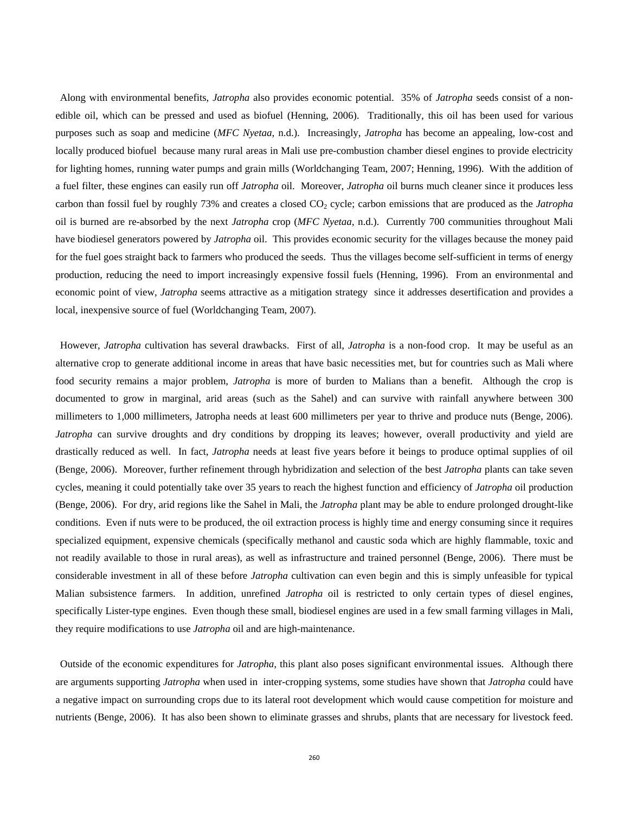Along with environmental benefits, *Jatropha* also provides economic potential. 35% of *Jatropha* seeds consist of a nonedible oil, which can be pressed and used as biofuel (Henning, 2006). Traditionally, this oil has been used for various purposes such as soap and medicine (*MFC Nyetaa*, n.d.). Increasingly, *Jatropha* has become an appealing, low-cost and locally produced biofuel because many rural areas in Mali use pre-combustion chamber diesel engines to provide electricity for lighting homes, running water pumps and grain mills (Worldchanging Team, 2007; Henning, 1996). With the addition of a fuel filter, these engines can easily run off *Jatropha* oil. Moreover, *Jatropha* oil burns much cleaner since it produces less carbon than fossil fuel by roughly 73% and creates a closed CO<sub>2</sub> cycle; carbon emissions that are produced as the *Jatropha* oil is burned are re-absorbed by the next *Jatropha* crop (*MFC Nyetaa*, n.d.). Currently 700 communities throughout Mali have biodiesel generators powered by *Jatropha* oil. This provides economic security for the villages because the money paid for the fuel goes straight back to farmers who produced the seeds. Thus the villages become self-sufficient in terms of energy production, reducing the need to import increasingly expensive fossil fuels (Henning, 1996). From an environmental and economic point of view, *Jatropha* seems attractive as a mitigation strategy since it addresses desertification and provides a local, inexpensive source of fuel (Worldchanging Team, 2007).

 However, *Jatropha* cultivation has several drawbacks. First of all, *Jatropha* is a non-food crop. It may be useful as an alternative crop to generate additional income in areas that have basic necessities met, but for countries such as Mali where food security remains a major problem, *Jatropha* is more of burden to Malians than a benefit. Although the crop is documented to grow in marginal, arid areas (such as the Sahel) and can survive with rainfall anywhere between 300 millimeters to 1,000 millimeters, Jatropha needs at least 600 millimeters per year to thrive and produce nuts (Benge, 2006). *Jatropha* can survive droughts and dry conditions by dropping its leaves; however, overall productivity and yield are drastically reduced as well. In fact, *Jatropha* needs at least five years before it beings to produce optimal supplies of oil (Benge, 2006). Moreover, further refinement through hybridization and selection of the best *Jatropha* plants can take seven cycles, meaning it could potentially take over 35 years to reach the highest function and efficiency of *Jatropha* oil production (Benge, 2006). For dry, arid regions like the Sahel in Mali, the *Jatropha* plant may be able to endure prolonged drought-like conditions. Even if nuts were to be produced, the oil extraction process is highly time and energy consuming since it requires specialized equipment, expensive chemicals (specifically methanol and caustic soda which are highly flammable, toxic and not readily available to those in rural areas), as well as infrastructure and trained personnel (Benge, 2006). There must be considerable investment in all of these before *Jatropha* cultivation can even begin and this is simply unfeasible for typical Malian subsistence farmers. In addition, unrefined *Jatropha* oil is restricted to only certain types of diesel engines, specifically Lister-type engines. Even though these small, biodiesel engines are used in a few small farming villages in Mali, they require modifications to use *Jatropha* oil and are high-maintenance.

 Outside of the economic expenditures for *Jatropha*, this plant also poses significant environmental issues. Although there are arguments supporting *Jatropha* when used in inter-cropping systems, some studies have shown that *Jatropha* could have a negative impact on surrounding crops due to its lateral root development which would cause competition for moisture and nutrients (Benge, 2006). It has also been shown to eliminate grasses and shrubs, plants that are necessary for livestock feed.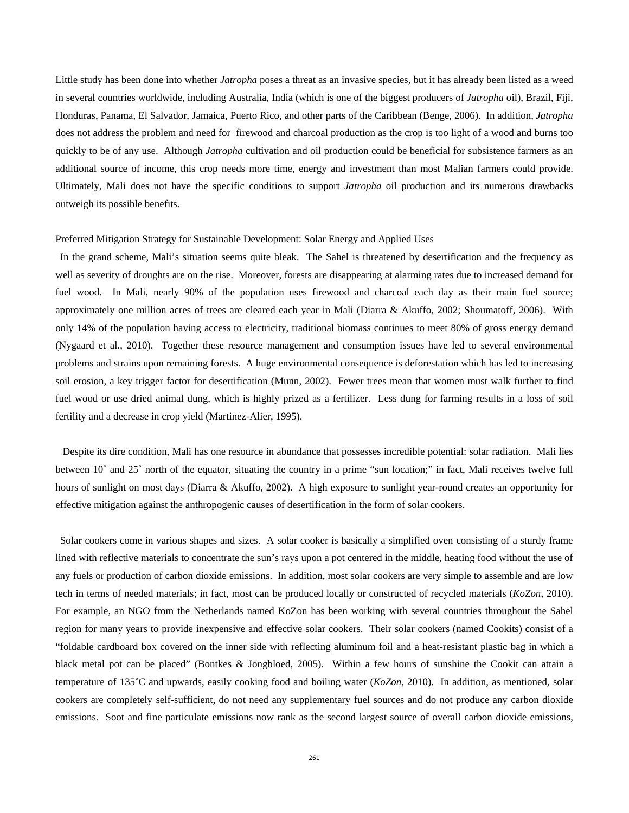Little study has been done into whether *Jatropha* poses a threat as an invasive species, but it has already been listed as a weed in several countries worldwide, including Australia, India (which is one of the biggest producers of *Jatropha* oil), Brazil, Fiji, Honduras, Panama, El Salvador, Jamaica, Puerto Rico, and other parts of the Caribbean (Benge, 2006). In addition, *Jatropha* does not address the problem and need for firewood and charcoal production as the crop is too light of a wood and burns too quickly to be of any use. Although *Jatropha* cultivation and oil production could be beneficial for subsistence farmers as an additional source of income, this crop needs more time, energy and investment than most Malian farmers could provide. Ultimately, Mali does not have the specific conditions to support *Jatropha* oil production and its numerous drawbacks outweigh its possible benefits.

#### Preferred Mitigation Strategy for Sustainable Development: Solar Energy and Applied Uses

 In the grand scheme, Mali's situation seems quite bleak. The Sahel is threatened by desertification and the frequency as well as severity of droughts are on the rise. Moreover, forests are disappearing at alarming rates due to increased demand for fuel wood. In Mali, nearly 90% of the population uses firewood and charcoal each day as their main fuel source; approximately one million acres of trees are cleared each year in Mali (Diarra & Akuffo, 2002; Shoumatoff, 2006). With only 14% of the population having access to electricity, traditional biomass continues to meet 80% of gross energy demand (Nygaard et al., 2010). Together these resource management and consumption issues have led to several environmental problems and strains upon remaining forests. A huge environmental consequence is deforestation which has led to increasing soil erosion, a key trigger factor for desertification (Munn, 2002). Fewer trees mean that women must walk further to find fuel wood or use dried animal dung, which is highly prized as a fertilizer. Less dung for farming results in a loss of soil fertility and a decrease in crop yield (Martinez-Alier, 1995).

 Despite its dire condition, Mali has one resource in abundance that possesses incredible potential: solar radiation. Mali lies between 10˚ and 25˚ north of the equator, situating the country in a prime "sun location;" in fact, Mali receives twelve full hours of sunlight on most days (Diarra & Akuffo, 2002). A high exposure to sunlight year-round creates an opportunity for effective mitigation against the anthropogenic causes of desertification in the form of solar cookers.

 Solar cookers come in various shapes and sizes. A solar cooker is basically a simplified oven consisting of a sturdy frame lined with reflective materials to concentrate the sun's rays upon a pot centered in the middle, heating food without the use of any fuels or production of carbon dioxide emissions. In addition, most solar cookers are very simple to assemble and are low tech in terms of needed materials; in fact, most can be produced locally or constructed of recycled materials (*KoZon*, 2010). For example, an NGO from the Netherlands named KoZon has been working with several countries throughout the Sahel region for many years to provide inexpensive and effective solar cookers. Their solar cookers (named Cookits) consist of a "foldable cardboard box covered on the inner side with reflecting aluminum foil and a heat-resistant plastic bag in which a black metal pot can be placed" (Bontkes & Jongbloed, 2005). Within a few hours of sunshine the Cookit can attain a temperature of 135˚C and upwards, easily cooking food and boiling water (*KoZon*, 2010). In addition, as mentioned, solar cookers are completely self-sufficient, do not need any supplementary fuel sources and do not produce any carbon dioxide emissions. Soot and fine particulate emissions now rank as the second largest source of overall carbon dioxide emissions,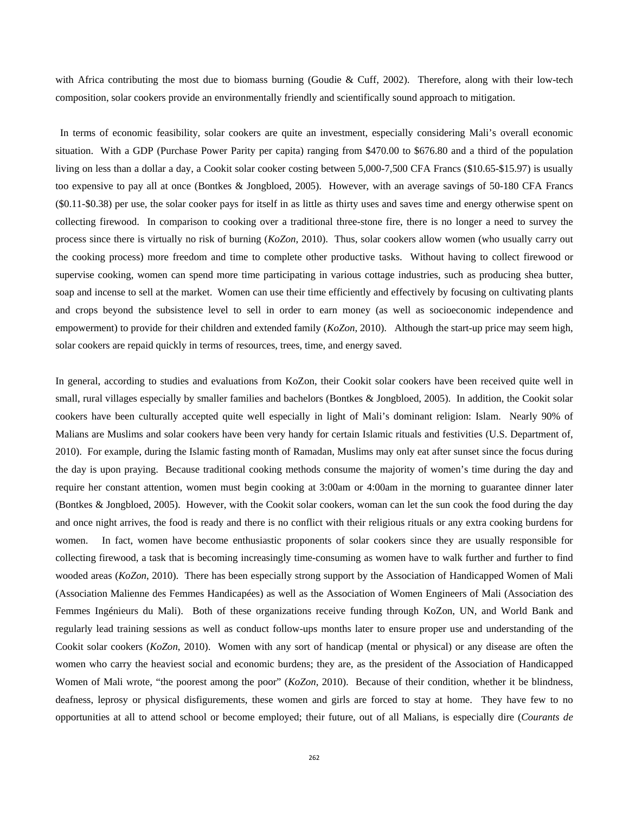with Africa contributing the most due to biomass burning (Goudie & Cuff, 2002). Therefore, along with their low-tech composition, solar cookers provide an environmentally friendly and scientifically sound approach to mitigation.

 In terms of economic feasibility, solar cookers are quite an investment, especially considering Mali's overall economic situation. With a GDP (Purchase Power Parity per capita) ranging from \$470.00 to \$676.80 and a third of the population living on less than a dollar a day, a Cookit solar cooker costing between 5,000-7,500 CFA Francs (\$10.65-\$15.97) is usually too expensive to pay all at once (Bontkes & Jongbloed, 2005). However, with an average savings of 50-180 CFA Francs (\$0.11-\$0.38) per use, the solar cooker pays for itself in as little as thirty uses and saves time and energy otherwise spent on collecting firewood. In comparison to cooking over a traditional three-stone fire, there is no longer a need to survey the process since there is virtually no risk of burning (*KoZon*, 2010). Thus, solar cookers allow women (who usually carry out the cooking process) more freedom and time to complete other productive tasks. Without having to collect firewood or supervise cooking, women can spend more time participating in various cottage industries, such as producing shea butter, soap and incense to sell at the market. Women can use their time efficiently and effectively by focusing on cultivating plants and crops beyond the subsistence level to sell in order to earn money (as well as socioeconomic independence and empowerment) to provide for their children and extended family (*KoZon*, 2010). Although the start-up price may seem high, solar cookers are repaid quickly in terms of resources, trees, time, and energy saved.

In general, according to studies and evaluations from KoZon, their Cookit solar cookers have been received quite well in small, rural villages especially by smaller families and bachelors (Bontkes & Jongbloed, 2005). In addition, the Cookit solar cookers have been culturally accepted quite well especially in light of Mali's dominant religion: Islam. Nearly 90% of Malians are Muslims and solar cookers have been very handy for certain Islamic rituals and festivities (U.S. Department of, 2010). For example, during the Islamic fasting month of Ramadan, Muslims may only eat after sunset since the focus during the day is upon praying. Because traditional cooking methods consume the majority of women's time during the day and require her constant attention, women must begin cooking at 3:00am or 4:00am in the morning to guarantee dinner later (Bontkes & Jongbloed, 2005). However, with the Cookit solar cookers, woman can let the sun cook the food during the day and once night arrives, the food is ready and there is no conflict with their religious rituals or any extra cooking burdens for women. In fact, women have become enthusiastic proponents of solar cookers since they are usually responsible for collecting firewood, a task that is becoming increasingly time-consuming as women have to walk further and further to find wooded areas (*KoZon*, 2010). There has been especially strong support by the Association of Handicapped Women of Mali (Association Malienne des Femmes Handicapées) as well as the Association of Women Engineers of Mali (Association des Femmes Ingénieurs du Mali). Both of these organizations receive funding through KoZon, UN, and World Bank and regularly lead training sessions as well as conduct follow-ups months later to ensure proper use and understanding of the Cookit solar cookers (*KoZon*, 2010). Women with any sort of handicap (mental or physical) or any disease are often the women who carry the heaviest social and economic burdens; they are, as the president of the Association of Handicapped Women of Mali wrote, "the poorest among the poor" (*KoZon*, 2010). Because of their condition, whether it be blindness, deafness, leprosy or physical disfigurements, these women and girls are forced to stay at home. They have few to no opportunities at all to attend school or become employed; their future, out of all Malians, is especially dire (*Courants de*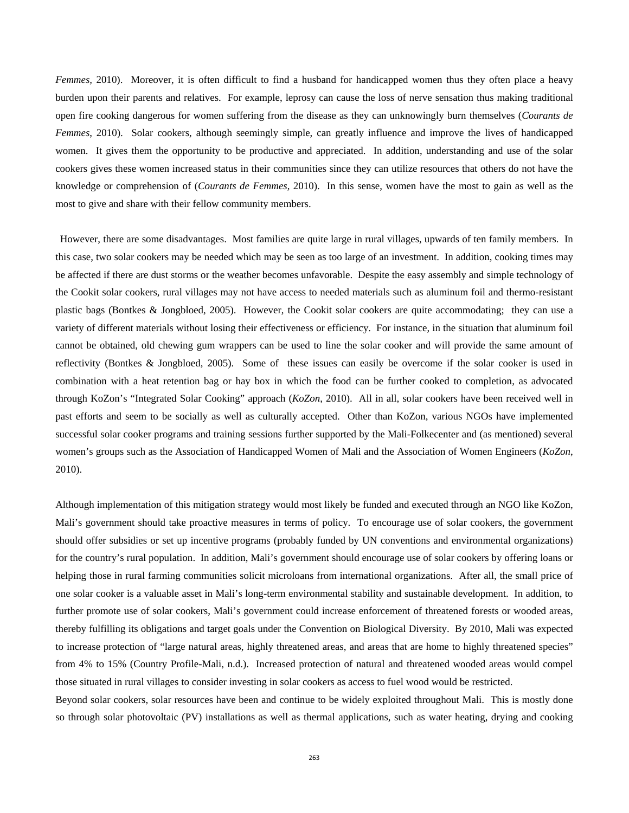*Femmes,* 2010). Moreover, it is often difficult to find a husband for handicapped women thus they often place a heavy burden upon their parents and relatives. For example, leprosy can cause the loss of nerve sensation thus making traditional open fire cooking dangerous for women suffering from the disease as they can unknowingly burn themselves (*Courants de Femmes*, 2010). Solar cookers, although seemingly simple, can greatly influence and improve the lives of handicapped women. It gives them the opportunity to be productive and appreciated. In addition, understanding and use of the solar cookers gives these women increased status in their communities since they can utilize resources that others do not have the knowledge or comprehension of (*Courants de Femmes*, 2010). In this sense, women have the most to gain as well as the most to give and share with their fellow community members.

 However, there are some disadvantages. Most families are quite large in rural villages, upwards of ten family members. In this case, two solar cookers may be needed which may be seen as too large of an investment. In addition, cooking times may be affected if there are dust storms or the weather becomes unfavorable. Despite the easy assembly and simple technology of the Cookit solar cookers, rural villages may not have access to needed materials such as aluminum foil and thermo-resistant plastic bags (Bontkes & Jongbloed, 2005). However, the Cookit solar cookers are quite accommodating; they can use a variety of different materials without losing their effectiveness or efficiency. For instance, in the situation that aluminum foil cannot be obtained, old chewing gum wrappers can be used to line the solar cooker and will provide the same amount of reflectivity (Bontkes & Jongbloed, 2005). Some of these issues can easily be overcome if the solar cooker is used in combination with a heat retention bag or hay box in which the food can be further cooked to completion, as advocated through KoZon's "Integrated Solar Cooking" approach (*KoZon*, 2010). All in all, solar cookers have been received well in past efforts and seem to be socially as well as culturally accepted. Other than KoZon, various NGOs have implemented successful solar cooker programs and training sessions further supported by the Mali-Folkecenter and (as mentioned) several women's groups such as the Association of Handicapped Women of Mali and the Association of Women Engineers (*KoZon*, 2010).

Although implementation of this mitigation strategy would most likely be funded and executed through an NGO like KoZon, Mali's government should take proactive measures in terms of policy. To encourage use of solar cookers, the government should offer subsidies or set up incentive programs (probably funded by UN conventions and environmental organizations) for the country's rural population. In addition, Mali's government should encourage use of solar cookers by offering loans or helping those in rural farming communities solicit microloans from international organizations. After all, the small price of one solar cooker is a valuable asset in Mali's long-term environmental stability and sustainable development. In addition, to further promote use of solar cookers, Mali's government could increase enforcement of threatened forests or wooded areas, thereby fulfilling its obligations and target goals under the Convention on Biological Diversity. By 2010, Mali was expected to increase protection of "large natural areas, highly threatened areas, and areas that are home to highly threatened species" from 4% to 15% (Country Profile-Mali, n.d.). Increased protection of natural and threatened wooded areas would compel those situated in rural villages to consider investing in solar cookers as access to fuel wood would be restricted.

Beyond solar cookers, solar resources have been and continue to be widely exploited throughout Mali. This is mostly done so through solar photovoltaic (PV) installations as well as thermal applications, such as water heating, drying and cooking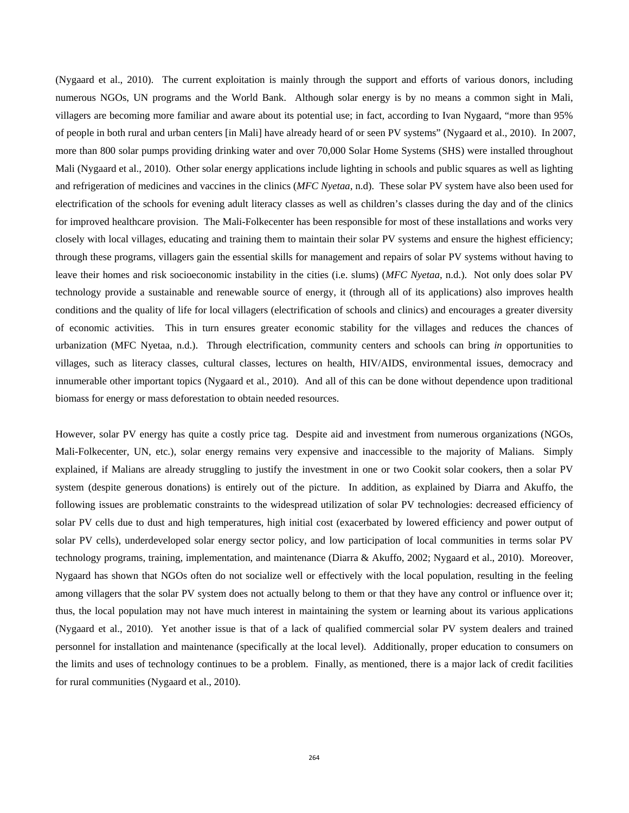(Nygaard et al., 2010). The current exploitation is mainly through the support and efforts of various donors, including numerous NGOs, UN programs and the World Bank. Although solar energy is by no means a common sight in Mali, villagers are becoming more familiar and aware about its potential use; in fact, according to Ivan Nygaard, "more than 95% of people in both rural and urban centers [in Mali] have already heard of or seen PV systems" (Nygaard et al., 2010). In 2007, more than 800 solar pumps providing drinking water and over 70,000 Solar Home Systems (SHS) were installed throughout Mali (Nygaard et al., 2010). Other solar energy applications include lighting in schools and public squares as well as lighting and refrigeration of medicines and vaccines in the clinics (*MFC Nyetaa*, n.d). These solar PV system have also been used for electrification of the schools for evening adult literacy classes as well as children's classes during the day and of the clinics for improved healthcare provision. The Mali-Folkecenter has been responsible for most of these installations and works very closely with local villages, educating and training them to maintain their solar PV systems and ensure the highest efficiency; through these programs, villagers gain the essential skills for management and repairs of solar PV systems without having to leave their homes and risk socioeconomic instability in the cities (i.e. slums) (*MFC Nyetaa*, n.d.). Not only does solar PV technology provide a sustainable and renewable source of energy, it (through all of its applications) also improves health conditions and the quality of life for local villagers (electrification of schools and clinics) and encourages a greater diversity of economic activities. This in turn ensures greater economic stability for the villages and reduces the chances of urbanization (MFC Nyetaa, n.d.). Through electrification, community centers and schools can bring *in* opportunities to villages, such as literacy classes, cultural classes, lectures on health, HIV/AIDS, environmental issues, democracy and innumerable other important topics (Nygaard et al., 2010). And all of this can be done without dependence upon traditional biomass for energy or mass deforestation to obtain needed resources.

However, solar PV energy has quite a costly price tag. Despite aid and investment from numerous organizations (NGOs, Mali-Folkecenter, UN, etc.), solar energy remains very expensive and inaccessible to the majority of Malians. Simply explained, if Malians are already struggling to justify the investment in one or two Cookit solar cookers, then a solar PV system (despite generous donations) is entirely out of the picture. In addition, as explained by Diarra and Akuffo, the following issues are problematic constraints to the widespread utilization of solar PV technologies: decreased efficiency of solar PV cells due to dust and high temperatures, high initial cost (exacerbated by lowered efficiency and power output of solar PV cells), underdeveloped solar energy sector policy, and low participation of local communities in terms solar PV technology programs, training, implementation, and maintenance (Diarra & Akuffo, 2002; Nygaard et al., 2010). Moreover, Nygaard has shown that NGOs often do not socialize well or effectively with the local population, resulting in the feeling among villagers that the solar PV system does not actually belong to them or that they have any control or influence over it; thus, the local population may not have much interest in maintaining the system or learning about its various applications (Nygaard et al., 2010). Yet another issue is that of a lack of qualified commercial solar PV system dealers and trained personnel for installation and maintenance (specifically at the local level). Additionally, proper education to consumers on the limits and uses of technology continues to be a problem. Finally, as mentioned, there is a major lack of credit facilities for rural communities (Nygaard et al., 2010).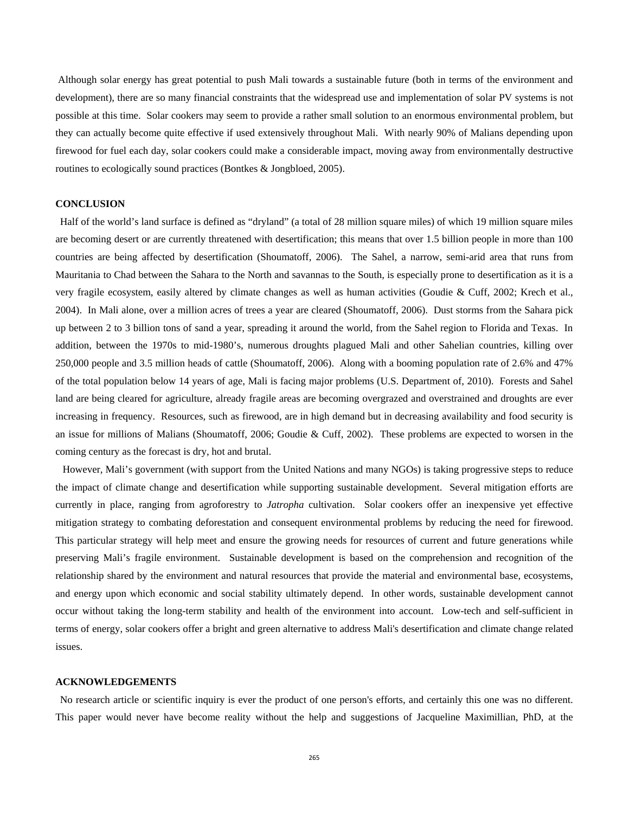Although solar energy has great potential to push Mali towards a sustainable future (both in terms of the environment and development), there are so many financial constraints that the widespread use and implementation of solar PV systems is not possible at this time. Solar cookers may seem to provide a rather small solution to an enormous environmental problem, but they can actually become quite effective if used extensively throughout Mali. With nearly 90% of Malians depending upon firewood for fuel each day, solar cookers could make a considerable impact, moving away from environmentally destructive routines to ecologically sound practices (Bontkes & Jongbloed, 2005).

# **CONCLUSION**

 Half of the world's land surface is defined as "dryland" (a total of 28 million square miles) of which 19 million square miles are becoming desert or are currently threatened with desertification; this means that over 1.5 billion people in more than 100 countries are being affected by desertification (Shoumatoff, 2006). The Sahel, a narrow, semi-arid area that runs from Mauritania to Chad between the Sahara to the North and savannas to the South, is especially prone to desertification as it is a very fragile ecosystem, easily altered by climate changes as well as human activities (Goudie & Cuff, 2002; Krech et al., 2004). In Mali alone, over a million acres of trees a year are cleared (Shoumatoff, 2006). Dust storms from the Sahara pick up between 2 to 3 billion tons of sand a year, spreading it around the world, from the Sahel region to Florida and Texas. In addition, between the 1970s to mid-1980's, numerous droughts plagued Mali and other Sahelian countries, killing over 250,000 people and 3.5 million heads of cattle (Shoumatoff, 2006). Along with a booming population rate of 2.6% and 47% of the total population below 14 years of age, Mali is facing major problems (U.S. Department of, 2010). Forests and Sahel land are being cleared for agriculture, already fragile areas are becoming overgrazed and overstrained and droughts are ever increasing in frequency. Resources, such as firewood, are in high demand but in decreasing availability and food security is an issue for millions of Malians (Shoumatoff, 2006; Goudie & Cuff, 2002). These problems are expected to worsen in the coming century as the forecast is dry, hot and brutal.

 However, Mali's government (with support from the United Nations and many NGOs) is taking progressive steps to reduce the impact of climate change and desertification while supporting sustainable development. Several mitigation efforts are currently in place, ranging from agroforestry to *Jatropha* cultivation. Solar cookers offer an inexpensive yet effective mitigation strategy to combating deforestation and consequent environmental problems by reducing the need for firewood. This particular strategy will help meet and ensure the growing needs for resources of current and future generations while preserving Mali's fragile environment. Sustainable development is based on the comprehension and recognition of the relationship shared by the environment and natural resources that provide the material and environmental base, ecosystems, and energy upon which economic and social stability ultimately depend. In other words, sustainable development cannot occur without taking the long-term stability and health of the environment into account. Low-tech and self-sufficient in terms of energy, solar cookers offer a bright and green alternative to address Mali's desertification and climate change related issues.

#### **ACKNOWLEDGEMENTS**

 No research article or scientific inquiry is ever the product of one person's efforts, and certainly this one was no different. This paper would never have become reality without the help and suggestions of Jacqueline Maximillian, PhD, at the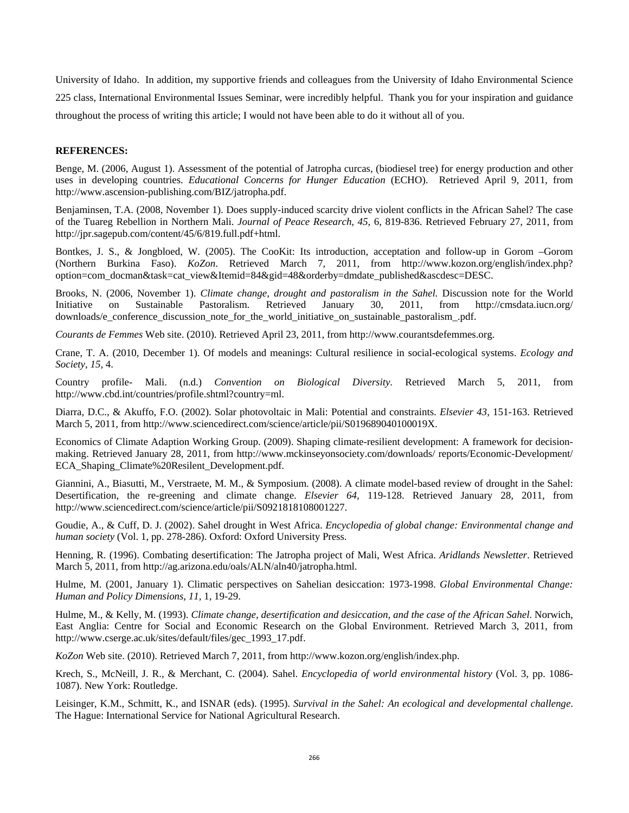University of Idaho. In addition, my supportive friends and colleagues from the University of Idaho Environmental Science 225 class, International Environmental Issues Seminar, were incredibly helpful. Thank you for your inspiration and guidance throughout the process of writing this article; I would not have been able to do it without all of you.

### **REFERENCES:**

Benge, M. (2006, August 1). Assessment of the potential of Jatropha curcas, (biodiesel tree) for energy production and other uses in developing countries. *Educational Concerns for Hunger Education* (ECHO). Retrieved April 9, 2011, from http://www.ascension-publishing.com/BIZ/jatropha.pdf.

Benjaminsen, T.A. (2008, November 1). Does supply-induced scarcity drive violent conflicts in the African Sahel? The case of the Tuareg Rebellion in Northern Mali. *Journal of Peace Research, 45*, 6, 819-836. Retrieved February 27, 2011, from http://jpr.sagepub.com/content/45/6/819.full.pdf+html.

Bontkes, J. S., & Jongbloed, W. (2005). The CooKit: Its introduction, acceptation and follow-up in Gorom –Gorom (Northern Burkina Faso). *KoZon*. Retrieved March 7, 2011, from http://www.kozon.org/english/index.php? option=com\_docman&task=cat\_view&Itemid=84&gid=48&orderby=dmdate\_published&ascdesc=DESC.

Brooks, N. (2006, November 1). *Climate change, drought and pastoralism in the Sahel.* Discussion note for the World Initiative on Sustainable Pastoralism. Retrieved January 30, 2011, from http://cmsdata.iucn.org/ downloads/e\_conference\_discussion\_note\_for\_the\_world\_initiative\_on\_sustainable\_pastoralism\_.pdf.

*Courants de Femmes* Web site. (2010). Retrieved April 23, 2011, from http://www.courantsdefemmes.org.

Crane, T. A. (2010, December 1). Of models and meanings: Cultural resilience in social-ecological systems. *Ecology and Society, 15,* 4.

Country profile- Mali. (n.d.) *Convention on Biological Diversity*. Retrieved March 5, 2011, from http://www.cbd.int/countries/profile.shtml?country=ml.

Diarra, D.C., & Akuffo, F.O. (2002). Solar photovoltaic in Mali: Potential and constraints. *Elsevier 43*, 151-163. Retrieved March 5, 2011, from http://www.sciencedirect.com/science/article/pii/S019689040100019X.

Economics of Climate Adaption Working Group. (2009). Shaping climate-resilient development: A framework for decisionmaking. Retrieved January 28, 2011, from http://www.mckinseyonsociety.com/downloads/ reports/Economic-Development/ ECA Shaping Climate%20Resilent Development.pdf.

Giannini, A., Biasutti, M., Verstraete, M. M., & Symposium. (2008). A climate model-based review of drought in the Sahel: Desertification, the re-greening and climate change. *Elsevier 64*, 119-128. Retrieved January 28, 2011, from http://www.sciencedirect.com/science/article/pii/S0921818108001227.

Goudie, A., & Cuff, D. J. (2002). Sahel drought in West Africa. *Encyclopedia of global change: Environmental change and human society* (Vol. 1, pp. 278-286). Oxford: Oxford University Press.

Henning, R. (1996). Combating desertification: The Jatropha project of Mali, West Africa. *Aridlands Newsletter*. Retrieved March 5, 2011, from http://ag.arizona.edu/oals/ALN/aln40/jatropha.html.

Hulme, M. (2001, January 1). Climatic perspectives on Sahelian desiccation: 1973-1998. *Global Environmental Change: Human and Policy Dimensions, 11,* 1, 19-29.

Hulme, M., & Kelly, M. (1993). *Climate change, desertification and desiccation, and the case of the African Sahel*. Norwich, East Anglia: Centre for Social and Economic Research on the Global Environment. Retrieved March 3, 2011, from http://www.cserge.ac.uk/sites/default/files/gec\_1993\_17.pdf.

*KoZon* Web site. (2010). Retrieved March 7, 2011, from http://www.kozon.org/english/index.php.

Krech, S., McNeill, J. R., & Merchant, C. (2004). Sahel. *Encyclopedia of world environmental history* (Vol. 3, pp. 1086- 1087). New York: Routledge.

Leisinger, K.M., Schmitt, K., and ISNAR (eds). (1995). *Survival in the Sahel: An ecological and developmental challenge*. The Hague: International Service for National Agricultural Research.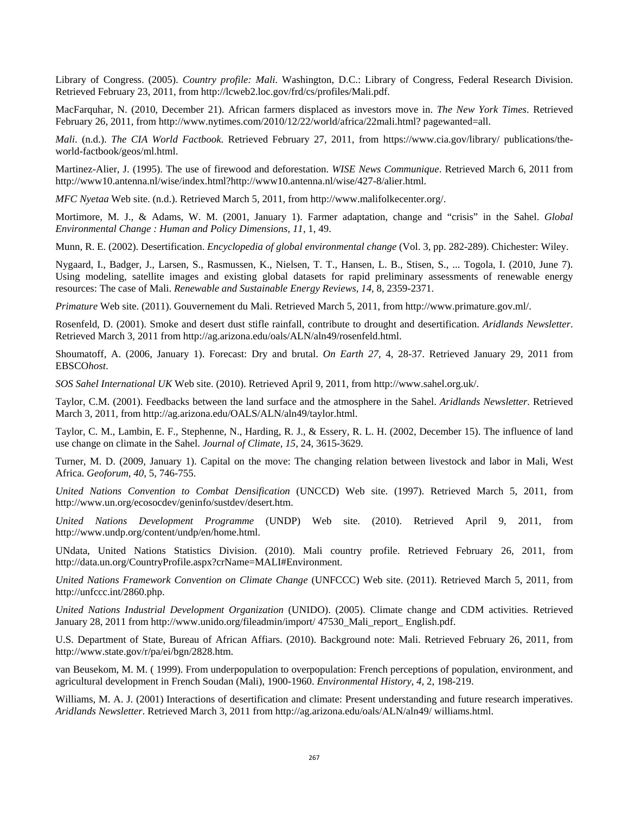Library of Congress. (2005). *Country profile: Mali*. Washington, D.C.: Library of Congress, Federal Research Division. Retrieved February 23, 2011, from http://lcweb2.loc.gov/frd/cs/profiles/Mali.pdf.

MacFarquhar, N. (2010, December 21). African farmers displaced as investors move in. *The New York Times*. Retrieved February 26, 2011, from http://www.nytimes.com/2010/12/22/world/africa/22mali.html? pagewanted=all.

*Mali*. (n.d.). *The CIA World Factbook*. Retrieved February 27, 2011, from https://www.cia.gov/library/ publications/theworld-factbook/geos/ml.html.

Martinez-Alier, J. (1995). The use of firewood and deforestation. *WISE News Communique*. Retrieved March 6, 2011 from http://www10.antenna.nl/wise/index.html?http://www10.antenna.nl/wise/427-8/alier.html.

*MFC Nyetaa* Web site. (n.d.). Retrieved March 5, 2011, from http://www.malifolkecenter.org/.

Mortimore, M. J., & Adams, W. M. (2001, January 1). Farmer adaptation, change and "crisis" in the Sahel. *Global Environmental Change : Human and Policy Dimensions, 11,* 1, 49.

Munn, R. E. (2002). Desertification. *Encyclopedia of global environmental change* (Vol. 3, pp. 282-289). Chichester: Wiley.

Nygaard, I., Badger, J., Larsen, S., Rasmussen, K., Nielsen, T. T., Hansen, L. B., Stisen, S., ... Togola, I. (2010, June 7). Using modeling, satellite images and existing global datasets for rapid preliminary assessments of renewable energy resources: The case of Mali. *Renewable and Sustainable Energy Reviews, 14,* 8, 2359-2371.

*Primature* Web site. (2011). Gouvernement du Mali. Retrieved March 5, 2011, from http://www.primature.gov.ml/.

Rosenfeld, D. (2001). Smoke and desert dust stifle rainfall, contribute to drought and desertification. *Aridlands Newsletter*. Retrieved March 3, 2011 from http://ag.arizona.edu/oals/ALN/aln49/rosenfeld.html.

Shoumatoff, A. (2006, January 1). Forecast: Dry and brutal. *On Earth 27*, 4, 28-37. Retrieved January 29, 2011 from EBSCO*host*.

*SOS Sahel International UK* Web site. (2010). Retrieved April 9, 2011, from http://www.sahel.org.uk/.

Taylor, C.M. (2001). Feedbacks between the land surface and the atmosphere in the Sahel. *Aridlands Newsletter*. Retrieved March 3, 2011, from http://ag.arizona.edu/OALS/ALN/aln49/taylor.html.

Taylor, C. M., Lambin, E. F., Stephenne, N., Harding, R. J., & Essery, R. L. H. (2002, December 15). The influence of land use change on climate in the Sahel. *Journal of Climate, 15,* 24, 3615-3629.

Turner, M. D. (2009, January 1). Capital on the move: The changing relation between livestock and labor in Mali, West Africa. *Geoforum, 40,* 5, 746-755.

*United Nations Convention to Combat Densification* (UNCCD) Web site. (1997). Retrieved March 5, 2011, from http://www.un.org/ecosocdev/geninfo/sustdev/desert.htm.

*United Nations Development Programme* (UNDP) Web site. (2010). Retrieved April 9, 2011, from http://www.undp.org/content/undp/en/home.html.

UNdata, United Nations Statistics Division. (2010). Mali country profile. Retrieved February 26, 2011, from http://data.un.org/CountryProfile.aspx?crName=MALI#Environment.

*United Nations Framework Convention on Climate Change* (UNFCCC) Web site. (2011). Retrieved March 5, 2011, from http://unfccc.int/2860.php.

*United Nations Industrial Development Organization* (UNIDO). (2005). Climate change and CDM activities. Retrieved January 28, 2011 from http://www.unido.org/fileadmin/import/ 47530\_Mali\_report\_ English.pdf.

U.S. Department of State, Bureau of African Affiars. (2010). Background note: Mali. Retrieved February 26, 2011, from http://www.state.gov/r/pa/ei/bgn/2828.htm.

van Beusekom, M. M. ( 1999). From underpopulation to overpopulation: French perceptions of population, environment, and agricultural development in French Soudan (Mali), 1900-1960. *Environmental History, 4,* 2, 198-219.

Williams, M. A. J. (2001) Interactions of desertification and climate: Present understanding and future research imperatives. *Aridlands Newsletter*. Retrieved March 3, 2011 from http://ag.arizona.edu/oals/ALN/aln49/ williams.html.